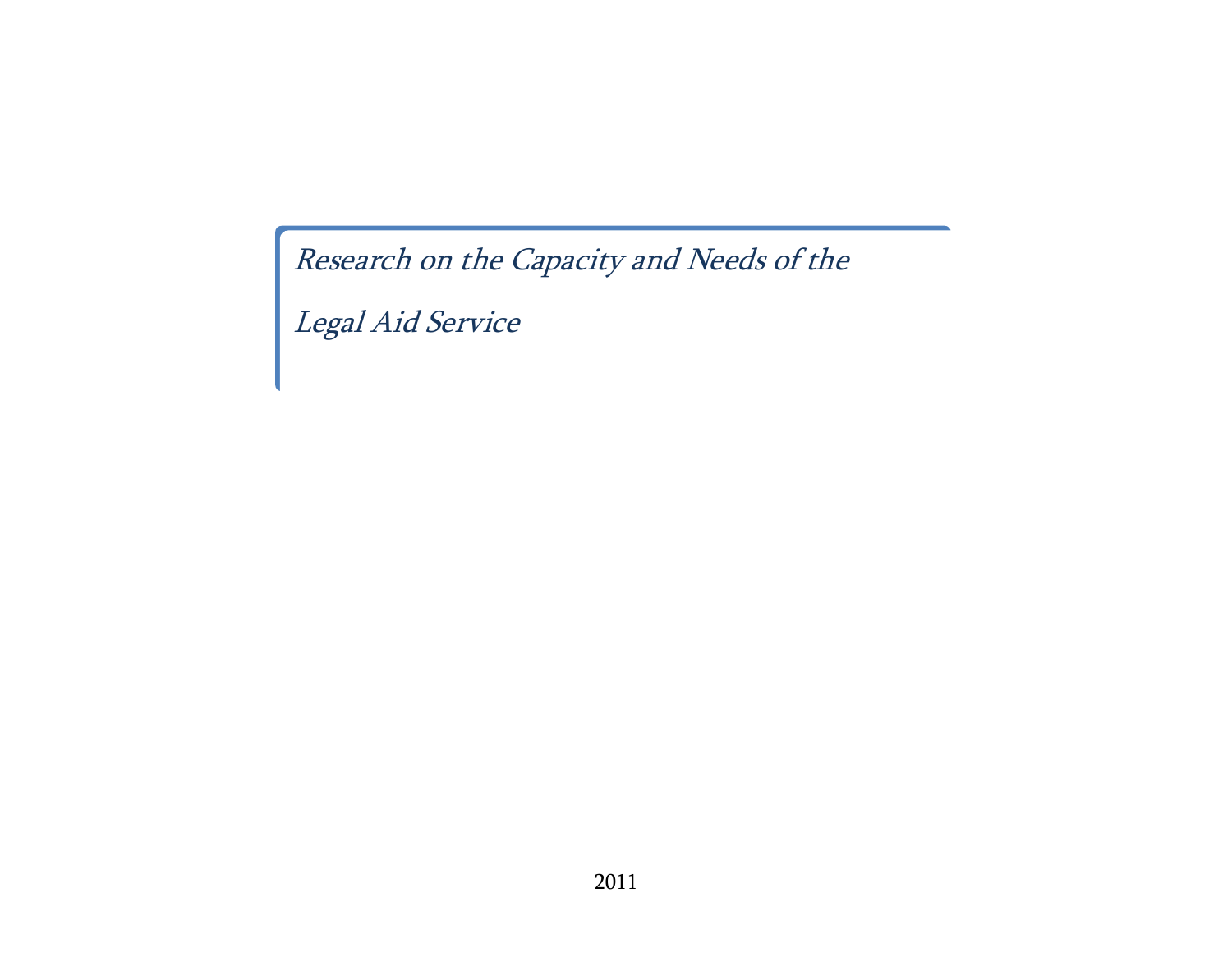Research on the Capacity and Needs of the

Legal Aid Service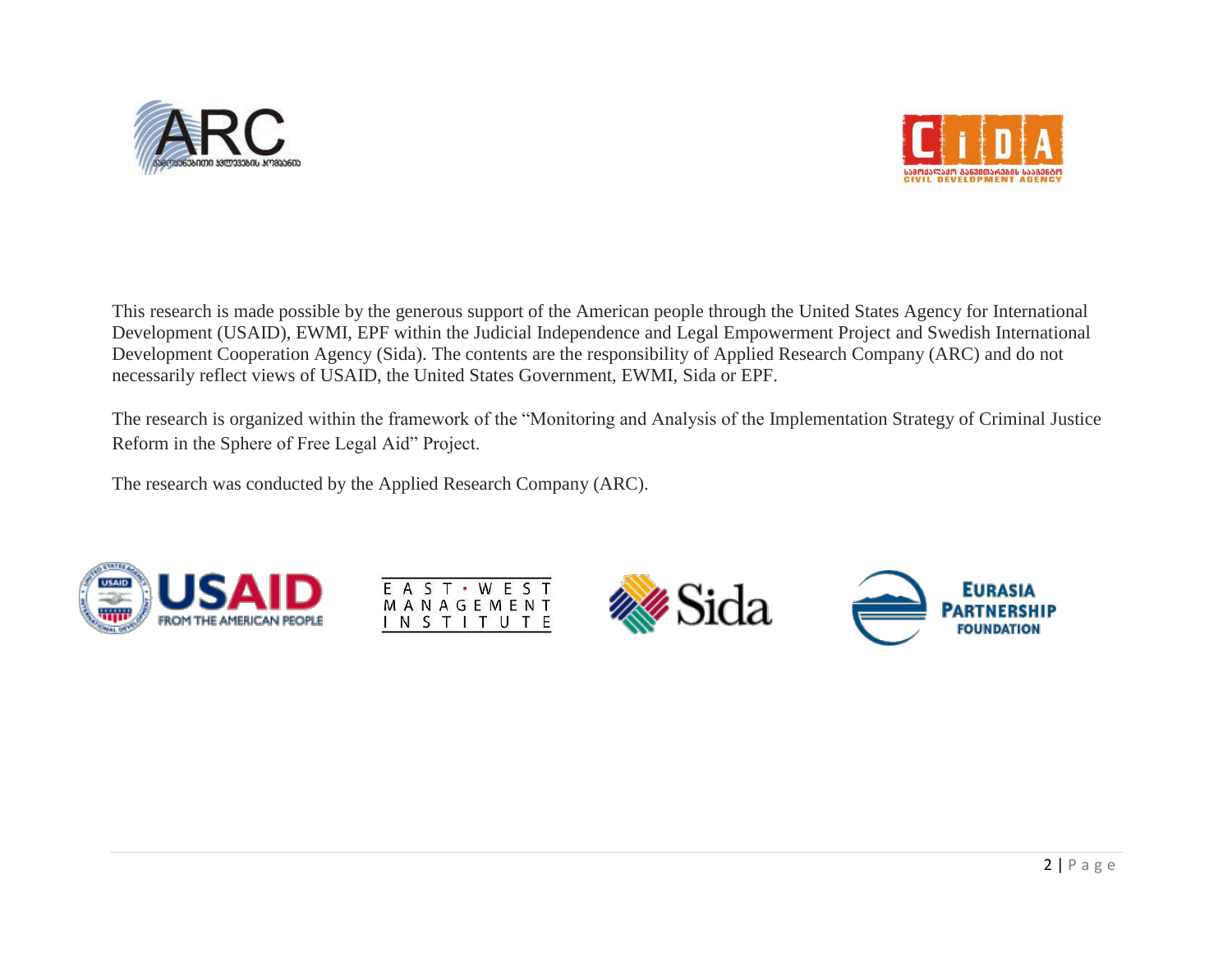



This research is made possible by the generous support of the American people through the United States Agency for International Development (USAID), EWMI, EPF within the Judicial Independence and Legal Empowerment Project and Swedish International Development Cooperation Agency (Sida). The contents are the responsibility of Applied Research Company (ARC) and do not necessarily reflect views of USAID, the United States Government, EWMI, Sida or EPF.

The research is organized within the framework of the "Monitoring and Analysis of the Implementation Strategy of Criminal Justice Reform in the Sphere of Free Legal Aid" Project.

The research was conducted by the Applied Research Company (ARC).







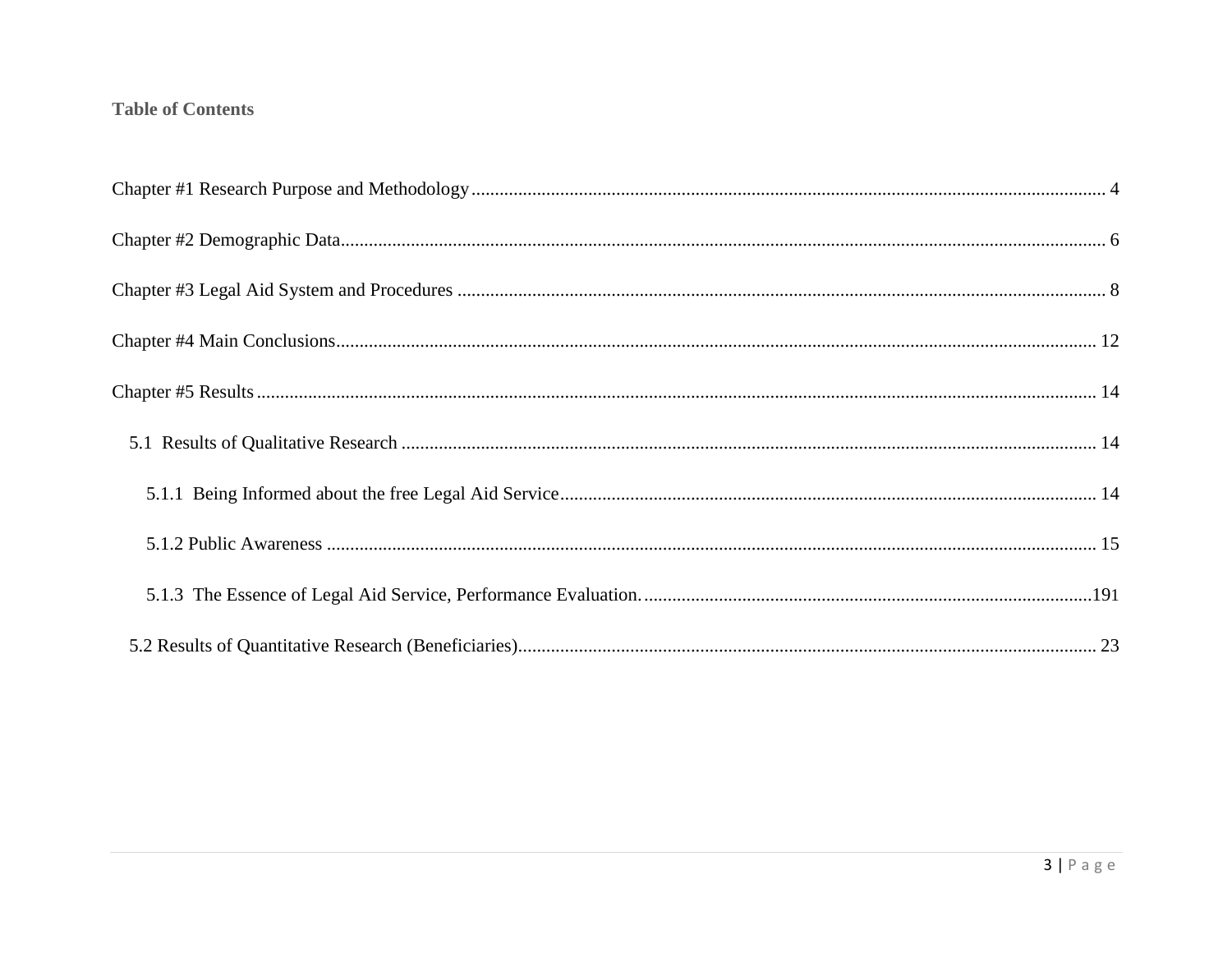# **Table of Contents**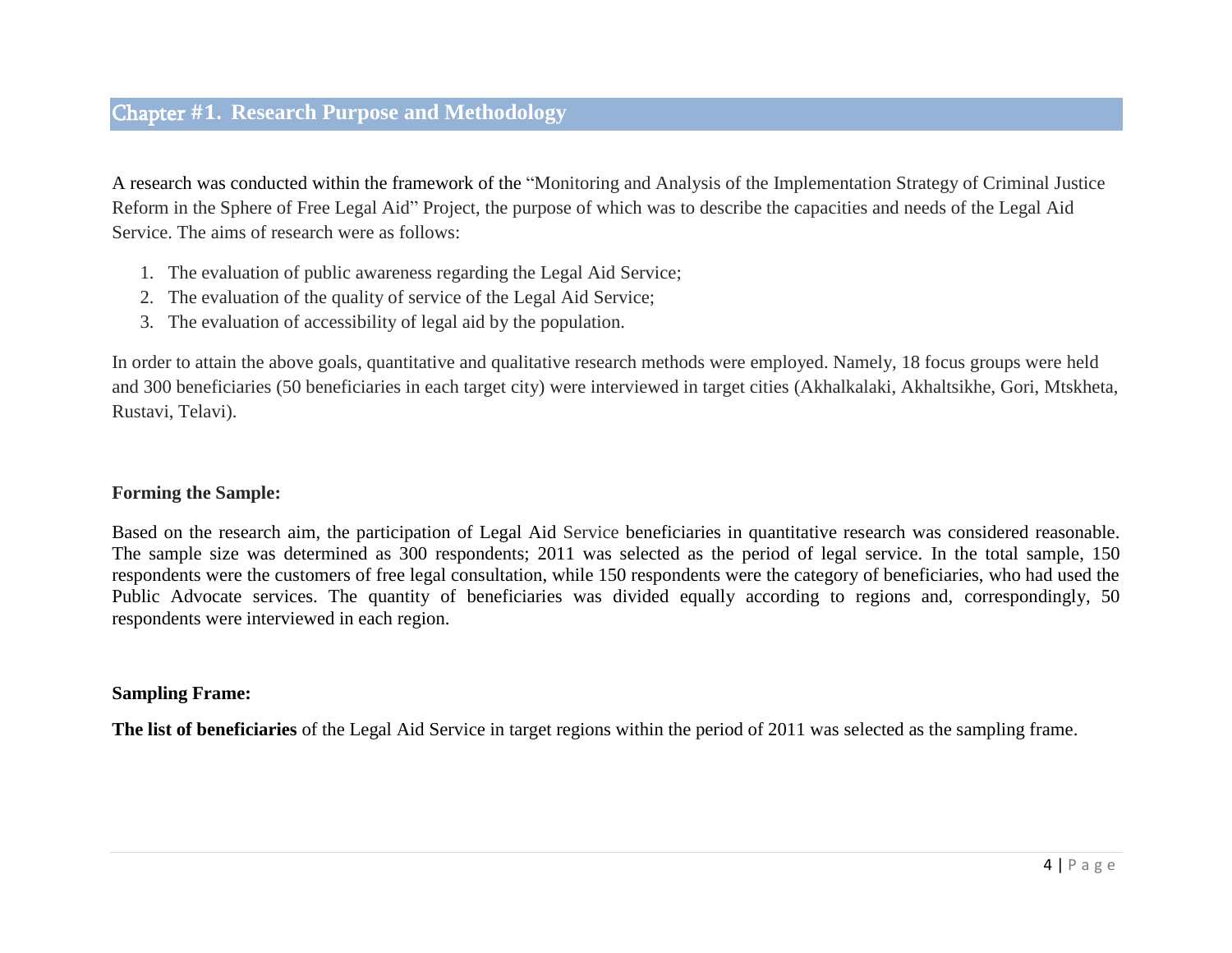<span id="page-3-0"></span>A research was conducted within the framework of the "Monitoring and Analysis of the Implementation Strategy of Criminal Justice Reform in the Sphere of Free Legal Aid" Project, the purpose of which was to describe the capacities and needs of the Legal Aid Service. The aims of research were as follows:

- 1. The evaluation of public awareness regarding the Legal Aid Service;
- 2. The evaluation of the quality of service of the Legal Aid Service;
- 3. The evaluation of accessibility of legal aid by the population.

In order to attain the above goals, quantitative and qualitative research methods were employed. Namely, 18 focus groups were held and 300 beneficiaries (50 beneficiaries in each target city) were interviewed in target cities (Akhalkalaki, Akhaltsikhe, Gori, Mtskheta, Rustavi, Telavi).

## **Forming the Sample:**

Based on the research aim, the participation of Legal Aid Service beneficiaries in quantitative research was considered reasonable. The sample size was determined as 300 respondents; 2011 was selected as the period of legal service. In the total sample, 150 respondents were the customers of free legal consultation, while 150 respondents were the category of beneficiaries, who had used the Public Advocate services. The quantity of beneficiaries was divided equally according to regions and, correspondingly, 50 respondents were interviewed in each region.

## **Sampling Frame:**

**The list of beneficiaries** of the Legal Aid Service in target regions within the period of 2011 was selected as the sampling frame.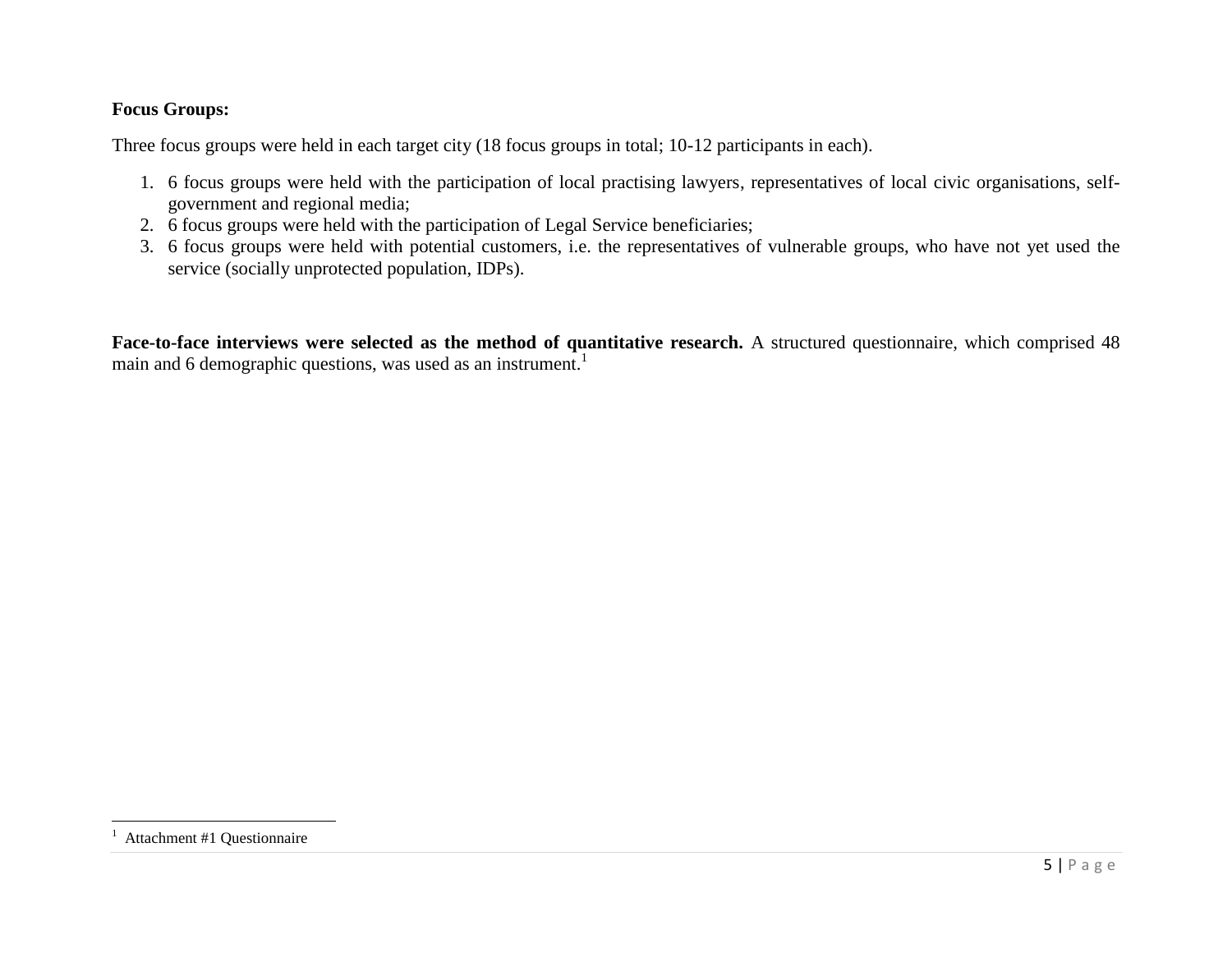# **Focus Groups:**

Three focus groups were held in each target city (18 focus groups in total; 10-12 participants in each).

- 1. 6 focus groups were held with the participation of local practising lawyers, representatives of local civic organisations, selfgovernment and regional media;
- 2. 6 focus groups were held with the participation of Legal Service beneficiaries;
- 3. 6 focus groups were held with potential customers, i.e. the representatives of vulnerable groups, who have not yet used the service (socially unprotected population, IDPs).

**Face-to-face interviews were selected as the method of quantitative research.** A structured questionnaire, which comprised 48 main and 6 demographic questions, was used as an instrument.<sup>1</sup>

 $\overline{\phantom{a}}$ 

<sup>1</sup> Attachment #1 Questionnaire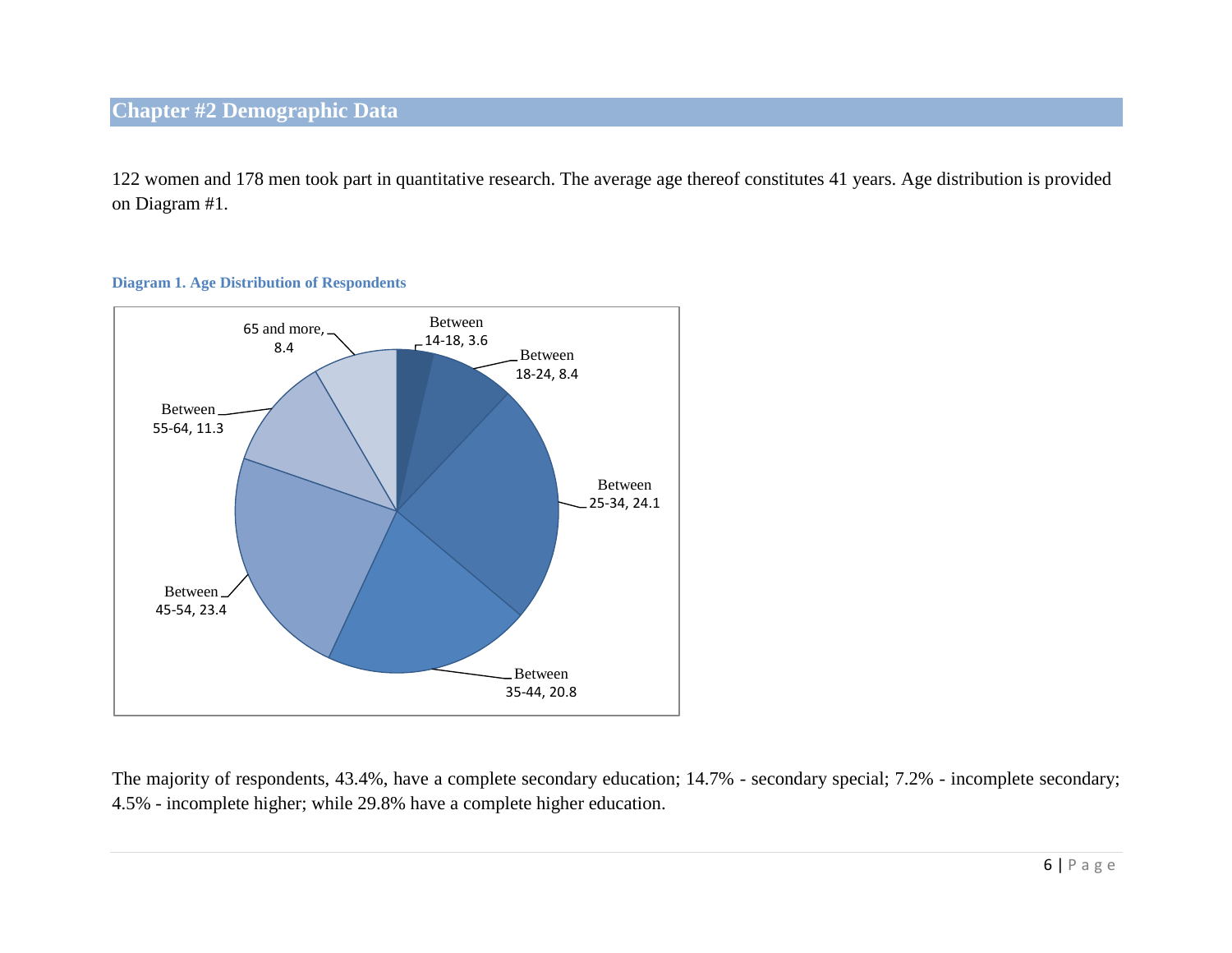# <span id="page-5-0"></span>**Chapter #2 Demographic Data**

122 women and 178 men took part in quantitative research. The average age thereof constitutes 41 years. Age distribution is provided on Diagram #1.

## **Diagram 1. Age Distribution of Respondents**



The majority of respondents, 43.4%, have a complete secondary education; 14.7% - secondary special; 7.2% - incomplete secondary; 4.5% - incomplete higher; while 29.8% have a complete higher education.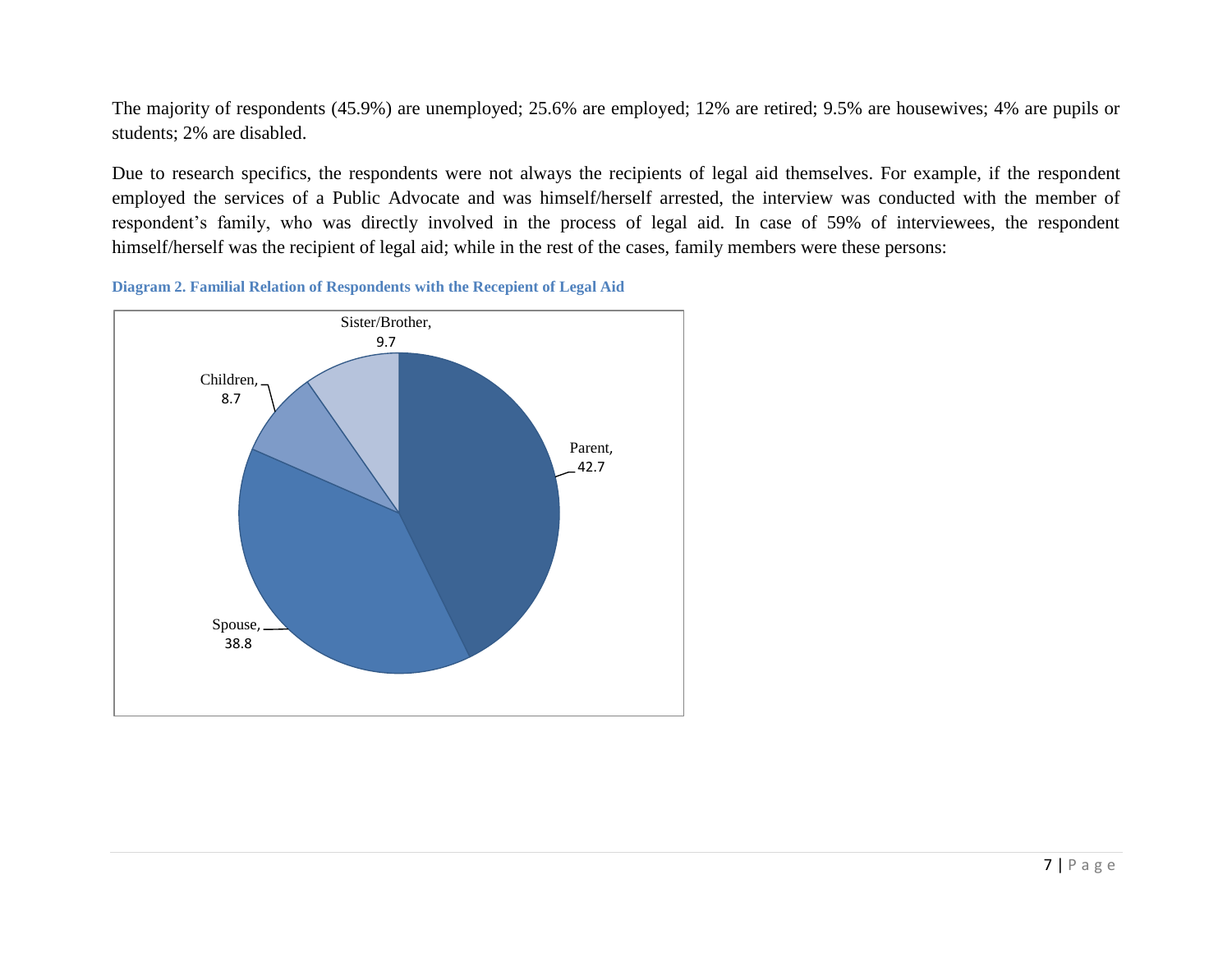The majority of respondents (45.9%) are unemployed; 25.6% are employed; 12% are retired; 9.5% are housewives; 4% are pupils or students; 2% are disabled.

Due to research specifics, the respondents were not always the recipients of legal aid themselves. For example, if the respondent employed the services of a Public Advocate and was himself/herself arrested, the interview was conducted with the member of respondent's family, who was directly involved in the process of legal aid. In case of 59% of interviewees, the respondent himself/herself was the recipient of legal aid; while in the rest of the cases, family members were these persons:



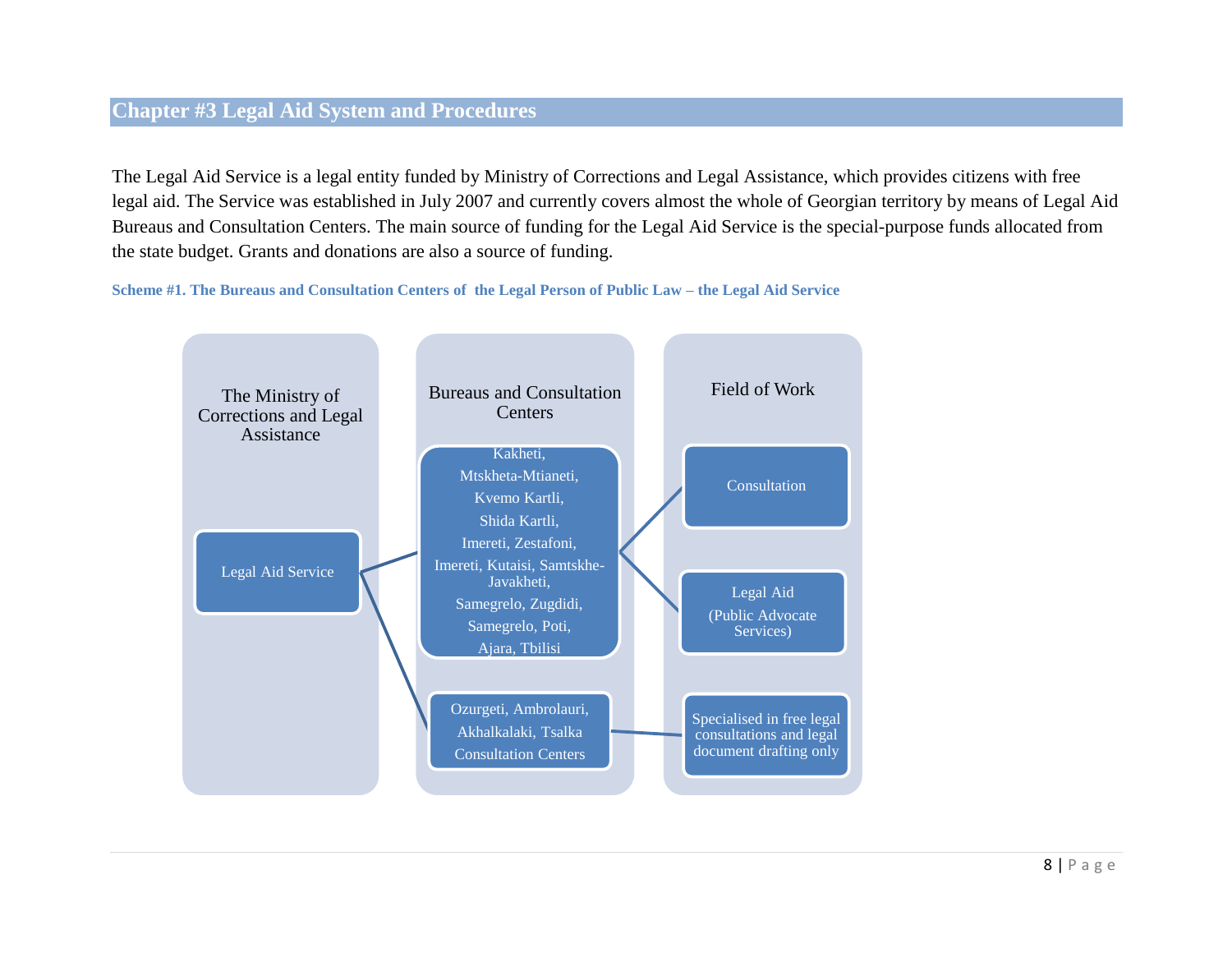# <span id="page-7-0"></span>**Chapter #3 Legal Aid System and Procedures**

The Legal Aid Service is a legal entity funded by Ministry of Corrections and Legal Assistance, which provides citizens with free legal aid. The Service was established in July 2007 and currently covers almost the whole of Georgian territory by means of Legal Aid Bureaus and Consultation Centers. The main source of funding for the Legal Aid Service is the special-purpose funds allocated from the state budget. Grants and donations are also a source of funding.

**Scheme #1. The Bureaus and Consultation Centers of the Legal Person of Public Law – the Legal Aid Service** 

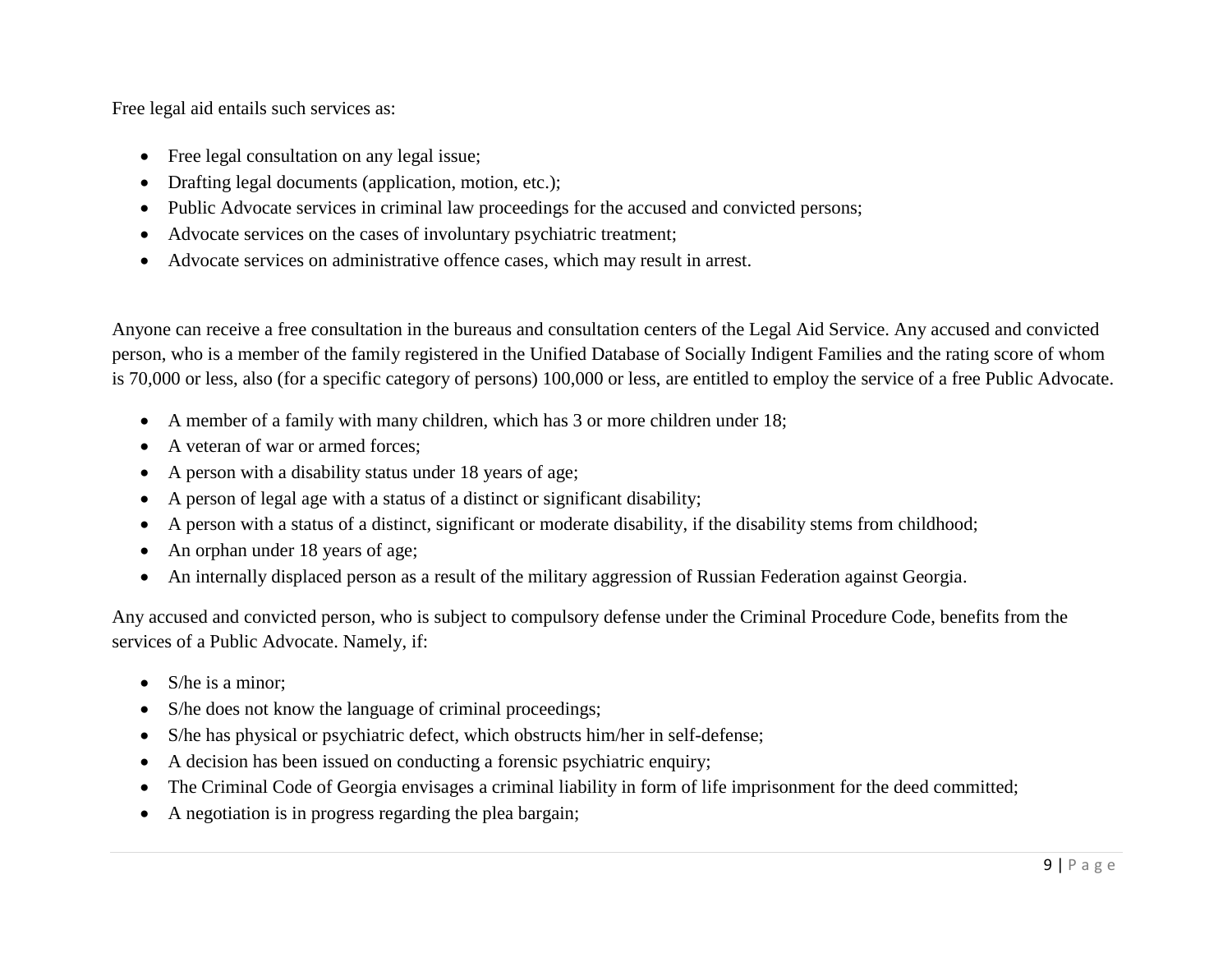Free legal aid entails such services as:

- Free legal consultation on any legal issue;
- Drafting legal documents (application, motion, etc.);
- Public Advocate services in criminal law proceedings for the accused and convicted persons;
- Advocate services on the cases of involuntary psychiatric treatment;
- Advocate services on administrative offence cases, which may result in arrest.

Anyone can receive a free consultation in the bureaus and consultation centers of the Legal Aid Service. Any accused and convicted person, who is a member of the family registered in the Unified Database of Socially Indigent Families and the rating score of whom is 70,000 or less, also (for a specific category of persons) 100,000 or less, are entitled to employ the service of a free Public Advocate.

- A member of a family with many children, which has 3 or more children under 18;
- A veteran of war or armed forces;
- A person with a disability status under 18 years of age;
- A person of legal age with a status of a distinct or significant disability;
- A person with a status of a distinct, significant or moderate disability, if the disability stems from childhood;
- An orphan under 18 years of age;
- An internally displaced person as a result of the military aggression of Russian Federation against Georgia.

Any accused and convicted person, who is subject to compulsory defense under the Criminal Procedure Code, benefits from the services of a Public Advocate. Namely, if:

- S/he is a minor;
- S/he does not know the language of criminal proceedings;
- S/he has physical or psychiatric defect, which obstructs him/her in self-defense;
- A decision has been issued on conducting a forensic psychiatric enquiry;
- The Criminal Code of Georgia envisages a criminal liability in form of life imprisonment for the deed committed;
- A negotiation is in progress regarding the plea bargain;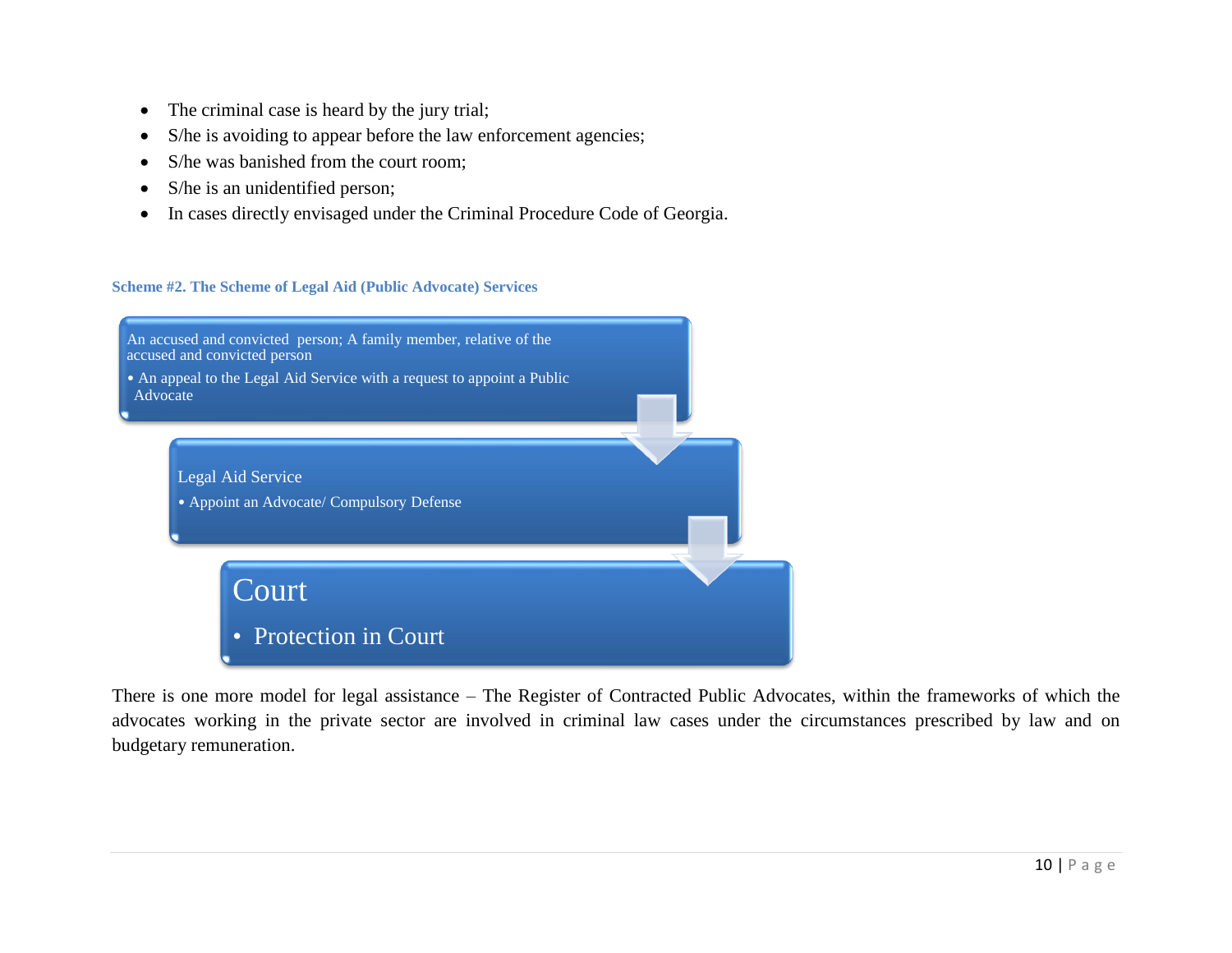- The criminal case is heard by the jury trial;
- S/he is avoiding to appear before the law enforcement agencies;
- S/he was banished from the court room:
- S/he is an unidentified person;
- In cases directly envisaged under the Criminal Procedure Code of Georgia.

## **Scheme #2. The Scheme of Legal Aid (Public Advocate) Services**



There is one more model for legal assistance – The Register of Contracted Public Advocates, within the frameworks of which the advocates working in the private sector are involved in criminal law cases under the circumstances prescribed by law and on budgetary remuneration.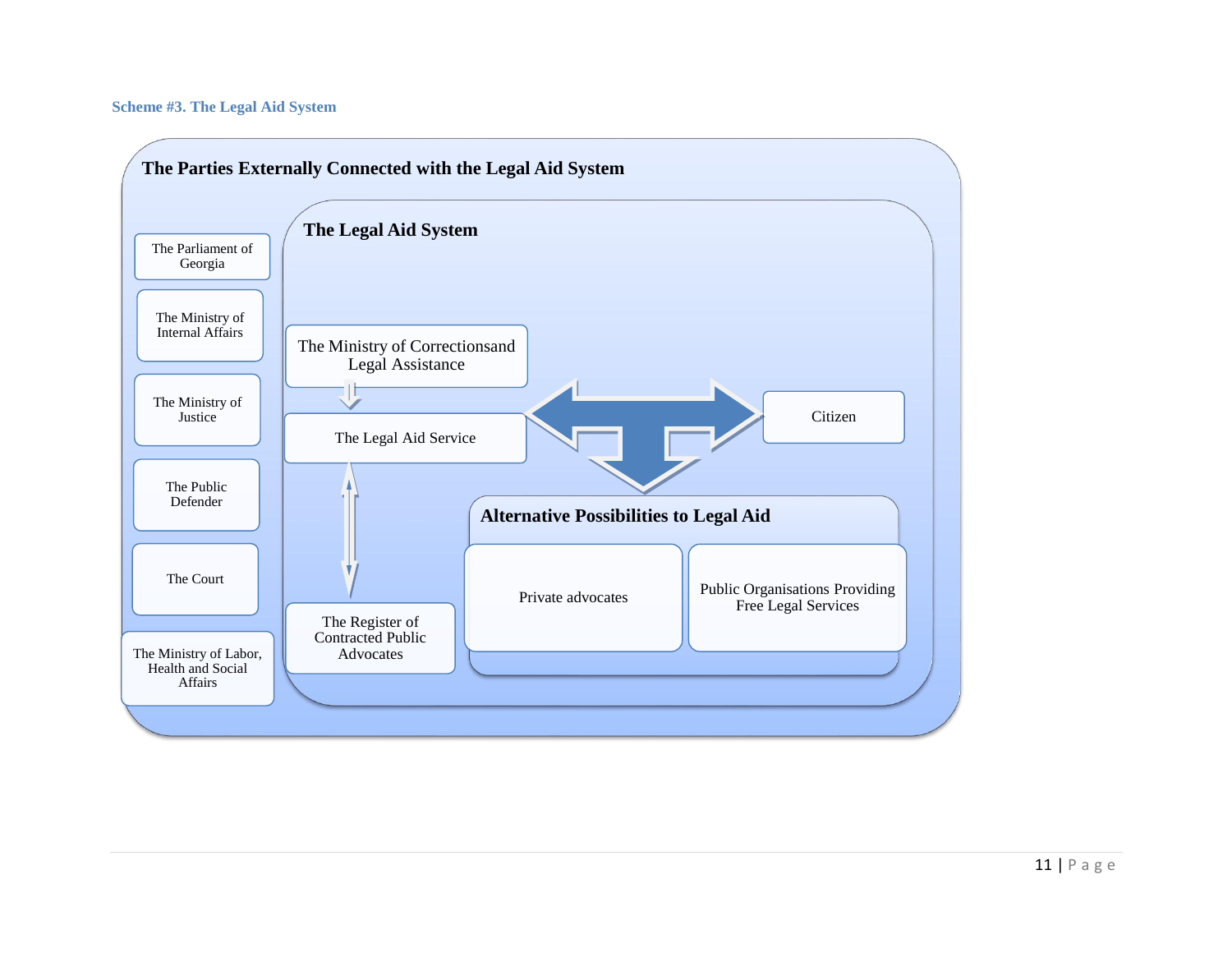#### **Scheme #3. The Legal Aid System**

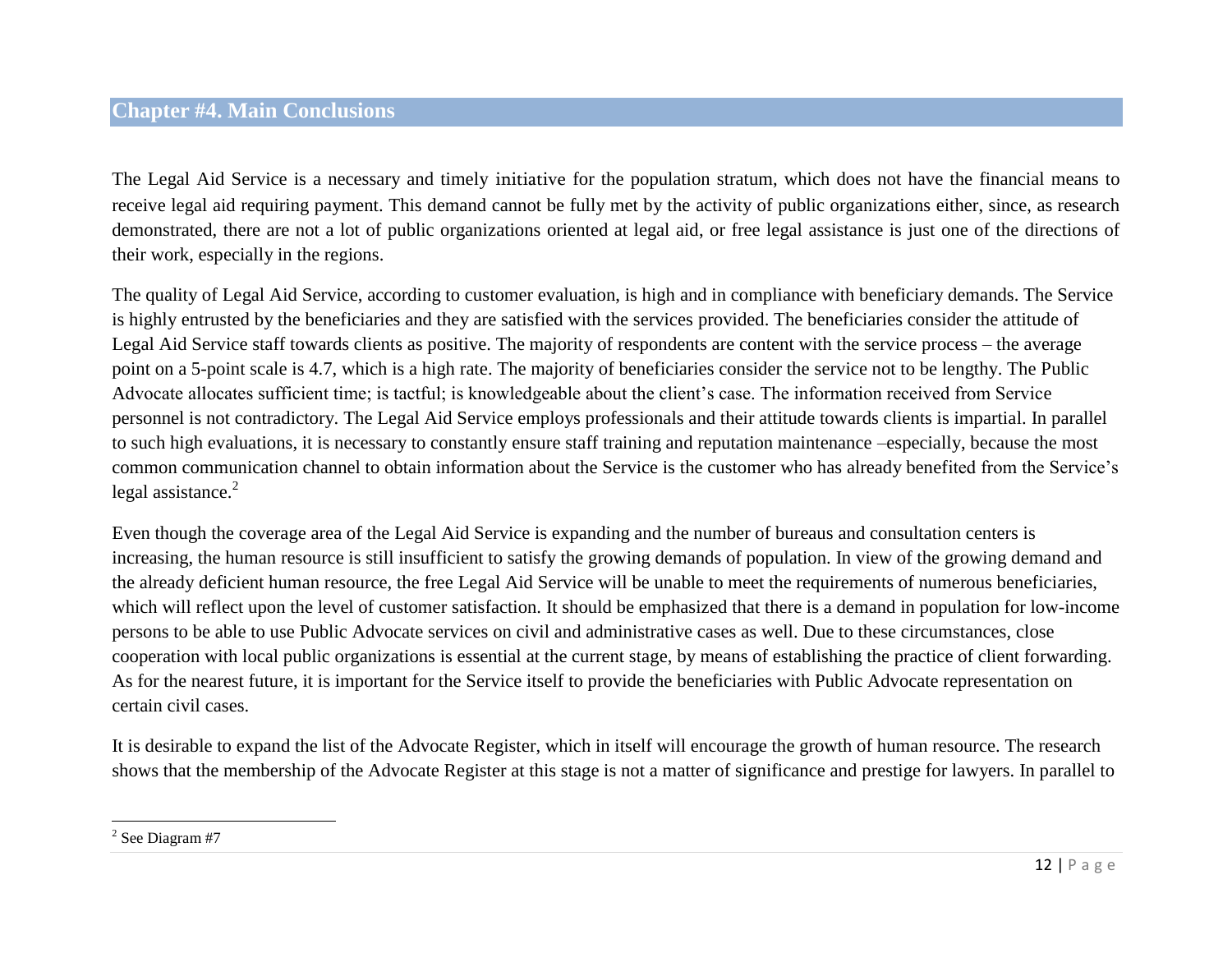# <span id="page-11-0"></span>**Chapter #4. Main Conclusions**

The Legal Aid Service is a necessary and timely initiative for the population stratum, which does not have the financial means to receive legal aid requiring payment. This demand cannot be fully met by the activity of public organizations either, since, as research demonstrated, there are not a lot of public organizations oriented at legal aid, or free legal assistance is just one of the directions of their work, especially in the regions.

The quality of Legal Aid Service, according to customer evaluation, is high and in compliance with beneficiary demands. The Service is highly entrusted by the beneficiaries and they are satisfied with the services provided. The beneficiaries consider the attitude of Legal Aid Service staff towards clients as positive. The majority of respondents are content with the service process – the average point on a 5-point scale is 4.7, which is a high rate. The majority of beneficiaries consider the service not to be lengthy. The Public Advocate allocates sufficient time; is tactful; is knowledgeable about the client's case. The information received from Service personnel is not contradictory. The Legal Aid Service employs professionals and their attitude towards clients is impartial. In parallel to such high evaluations, it is necessary to constantly ensure staff training and reputation maintenance –especially, because the most common communication channel to obtain information about the Service is the customer who has already benefited from the Service's legal assistance. $2$ 

Even though the coverage area of the Legal Aid Service is expanding and the number of bureaus and consultation centers is increasing, the human resource is still insufficient to satisfy the growing demands of population. In view of the growing demand and the already deficient human resource, the free Legal Aid Service will be unable to meet the requirements of numerous beneficiaries, which will reflect upon the level of customer satisfaction. It should be emphasized that there is a demand in population for low-income persons to be able to use Public Advocate services on civil and administrative cases as well. Due to these circumstances, close cooperation with local public organizations is essential at the current stage, by means of establishing the practice of client forwarding. As for the nearest future, it is important for the Service itself to provide the beneficiaries with Public Advocate representation on certain civil cases.

It is desirable to expand the list of the Advocate Register, which in itself will encourage the growth of human resource. The research shows that the membership of the Advocate Register at this stage is not a matter of significance and prestige for lawyers. In parallel to

 $2$  See Diagram #7

 $\overline{\phantom{a}}$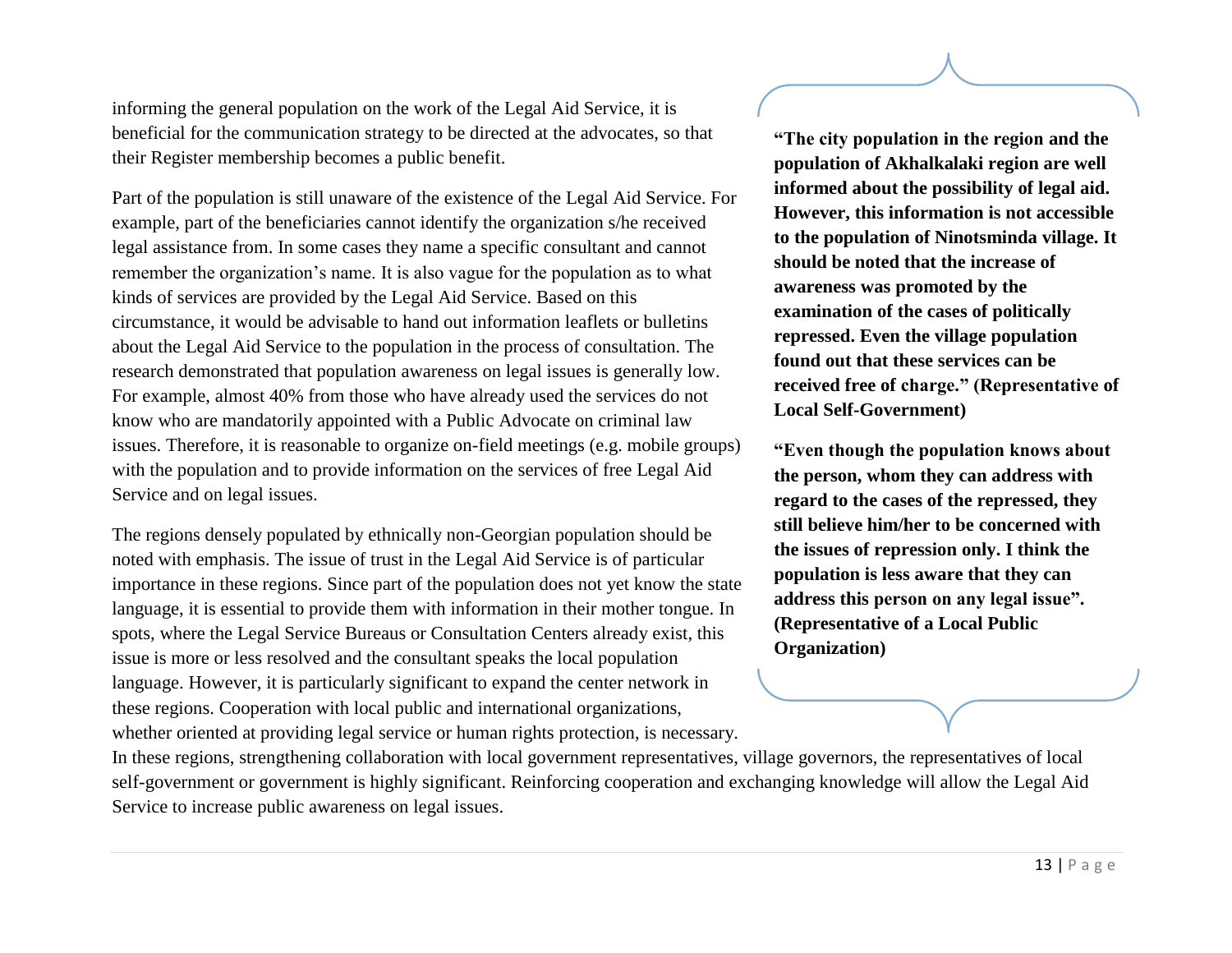informing the general population on the work of the Legal Aid Service, it is beneficial for the communication strategy to be directed at the advocates, so that their Register membership becomes a public benefit.

Part of the population is still unaware of the existence of the Legal Aid Service. For example, part of the beneficiaries cannot identify the organization s/he received legal assistance from. In some cases they name a specific consultant and cannot remember the organization's name. It is also vague for the population as to what kinds of services are provided by the Legal Aid Service. Based on this circumstance, it would be advisable to hand out information leaflets or bulletins about the Legal Aid Service to the population in the process of consultation. The research demonstrated that population awareness on legal issues is generally low. For example, almost 40% from those who have already used the services do not know who are mandatorily appointed with a Public Advocate on criminal law issues. Therefore, it is reasonable to organize on-field meetings (e.g. mobile groups) with the population and to provide information on the services of free Legal Aid Service and on legal issues.

The regions densely populated by ethnically non-Georgian population should be noted with emphasis. The issue of trust in the Legal Aid Service is of particular importance in these regions. Since part of the population does not yet know the state language, it is essential to provide them with information in their mother tongue. In spots, where the Legal Service Bureaus or Consultation Centers already exist, this issue is more or less resolved and the consultant speaks the local population language. However, it is particularly significant to expand the center network in these regions. Cooperation with local public and international organizations, whether oriented at providing legal service or human rights protection, is necessary.

**"The city population in the region and the population of Akhalkalaki region are well informed about the possibility of legal aid. However, this information is not accessible to the population of Ninotsminda village. It should be noted that the increase of awareness was promoted by the examination of the cases of politically repressed. Even the village population found out that these services can be received free of charge." (Representative of Local Self-Government)**

**"Even though the population knows about the person, whom they can address with regard to the cases of the repressed, they still believe him/her to be concerned with the issues of repression only. I think the population is less aware that they can address this person on any legal issue". (Representative of a Local Public Organization)**

In these regions, strengthening collaboration with local government representatives, village governors, the representatives of local self-government or government is highly significant. Reinforcing cooperation and exchanging knowledge will allow the Legal Aid Service to increase public awareness on legal issues.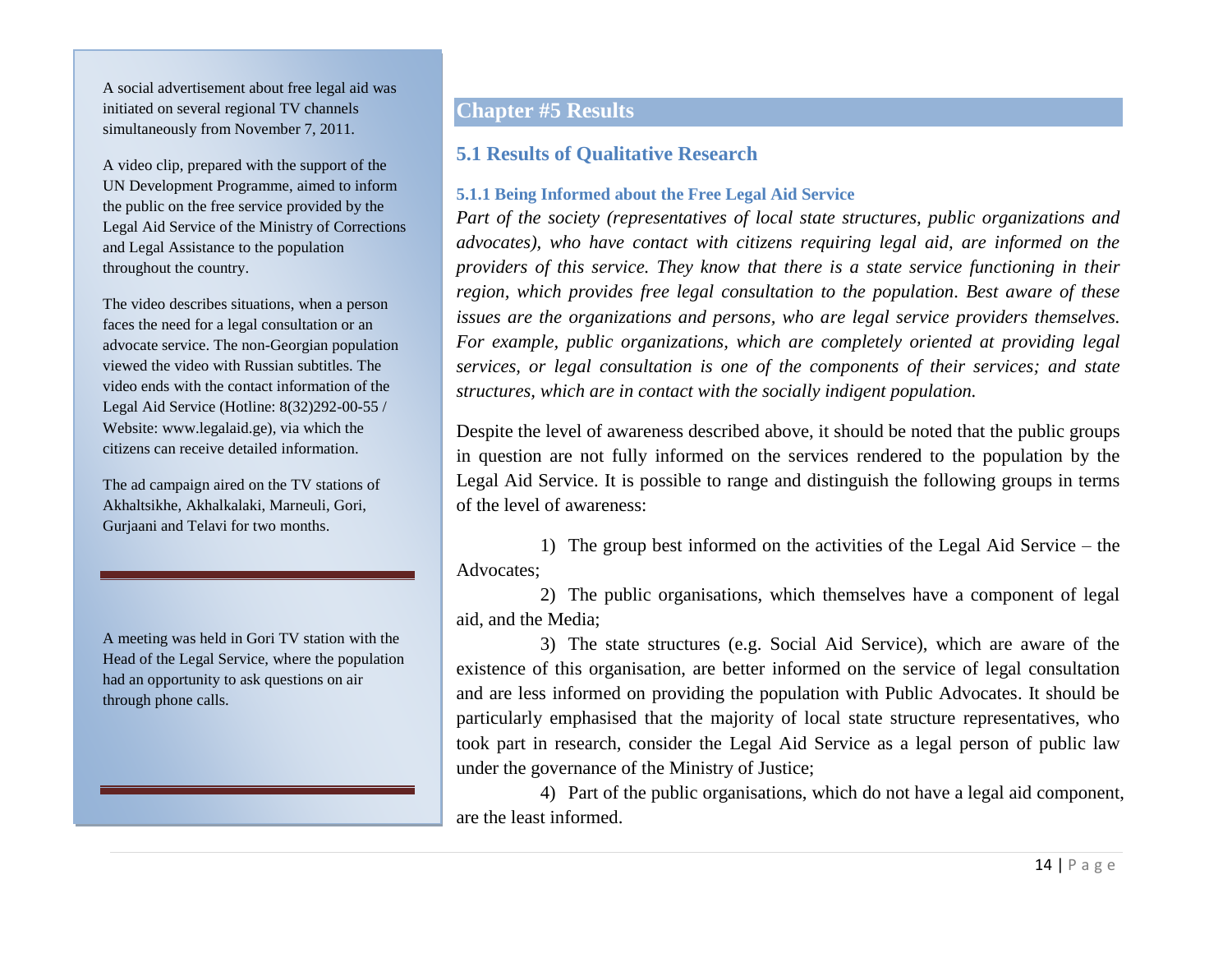A social advertisement about free legal aid was initiated on several regional TV channels simultaneously from November 7, 2011.

A video clip, prepared with the support of the UN Development Programme, aimed to inform the public on the free service provided by the Legal Aid Service of the Ministry of Corrections and Legal Assistance to the population throughout the country.

The video describes situations, when a person faces the need for a legal consultation or an advocate service. The non-Georgian population viewed the video with Russian subtitles. The video ends with the contact information of the Legal Aid Service (Hotline: 8(32)292-00-55 / Website: [www.legalaid.ge\)](http://www.legalaid.ge/), via which the citizens can receive detailed information.

The ad campaign aired on the TV stations of Akhaltsikhe, Akhalkalaki, Marneuli, Gori, Gurjaani and Telavi for two months.

A meeting was held in Gori TV station with the Head of the Legal Service, where the population had an opportunity to ask questions on air through phone calls.

# <span id="page-13-0"></span>**Chapter #5 Results**

# <span id="page-13-1"></span>**5.1 Results of Qualitative Research**

## <span id="page-13-2"></span>**5.1.1 Being Informed about the Free Legal Aid Service**

*Part of the society (representatives of local state structures, public organizations and advocates), who have contact with citizens requiring legal aid, are informed on the providers of this service. They know that there is a state service functioning in their region, which provides free legal consultation to the population. Best aware of these issues are the organizations and persons, who are legal service providers themselves. For example, public organizations, which are completely oriented at providing legal services, or legal consultation is one of the components of their services; and state structures, which are in contact with the socially indigent population.*

Despite the level of awareness described above, it should be noted that the public groups in question are not fully informed on the services rendered to the population by the Legal Aid Service. It is possible to range and distinguish the following groups in terms of the level of awareness:

1) The group best informed on the activities of the Legal Aid Service – the Advocates;

2) The public organisations, which themselves have a component of legal aid, and the Media;

3) The state structures (e.g. Social Aid Service), which are aware of the existence of this organisation, are better informed on the service of legal consultation and are less informed on providing the population with Public Advocates. It should be particularly emphasised that the majority of local state structure representatives, who took part in research, consider the Legal Aid Service as a legal person of public law under the governance of the Ministry of Justice;

4) Part of the public organisations, which do not have a legal aid component, are the least informed.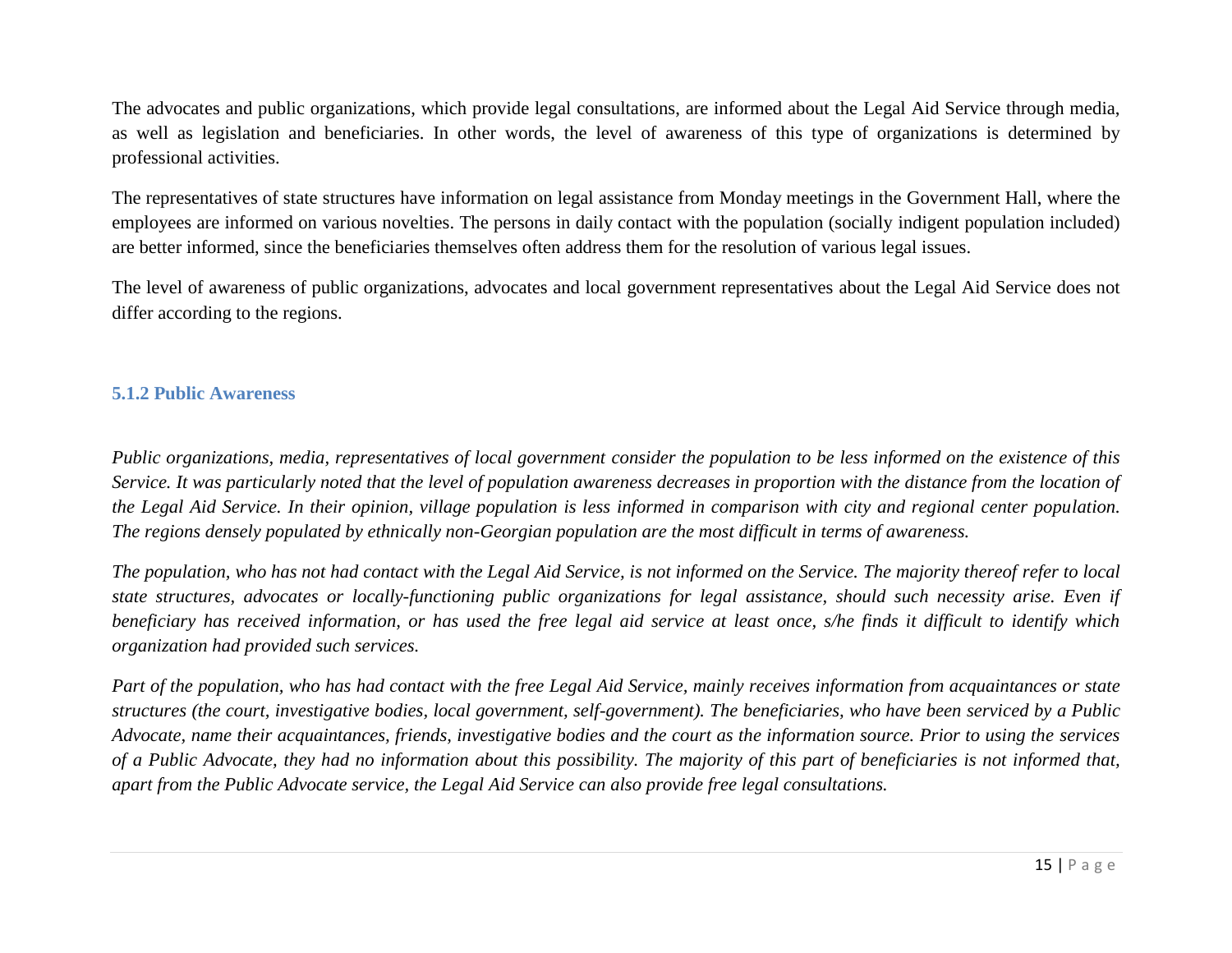The advocates and public organizations, which provide legal consultations, are informed about the Legal Aid Service through media, as well as legislation and beneficiaries. In other words, the level of awareness of this type of organizations is determined by professional activities.

The representatives of state structures have information on legal assistance from Monday meetings in the Government Hall, where the employees are informed on various novelties. The persons in daily contact with the population (socially indigent population included) are better informed, since the beneficiaries themselves often address them for the resolution of various legal issues.

The level of awareness of public organizations, advocates and local government representatives about the Legal Aid Service does not differ according to the regions.

## <span id="page-14-0"></span>**5.1.2 Public Awareness**

*Public organizations, media, representatives of local government consider the population to be less informed on the existence of this Service. It was particularly noted that the level of population awareness decreases in proportion with the distance from the location of the Legal Aid Service. In their opinion, village population is less informed in comparison with city and regional center population. The regions densely populated by ethnically non-Georgian population are the most difficult in terms of awareness.*

*The population, who has not had contact with the Legal Aid Service, is not informed on the Service. The majority thereof refer to local state structures, advocates or locally-functioning public organizations for legal assistance, should such necessity arise. Even if beneficiary has received information, or has used the free legal aid service at least once, s/he finds it difficult to identify which organization had provided such services.*

*Part of the population, who has had contact with the free Legal Aid Service, mainly receives information from acquaintances or state structures (the court, investigative bodies, local government, self-government). The beneficiaries, who have been serviced by a Public Advocate, name their acquaintances, friends, investigative bodies and the court as the information source. Prior to using the services of a Public Advocate, they had no information about this possibility. The majority of this part of beneficiaries is not informed that, apart from the Public Advocate service, the Legal Aid Service can also provide free legal consultations.*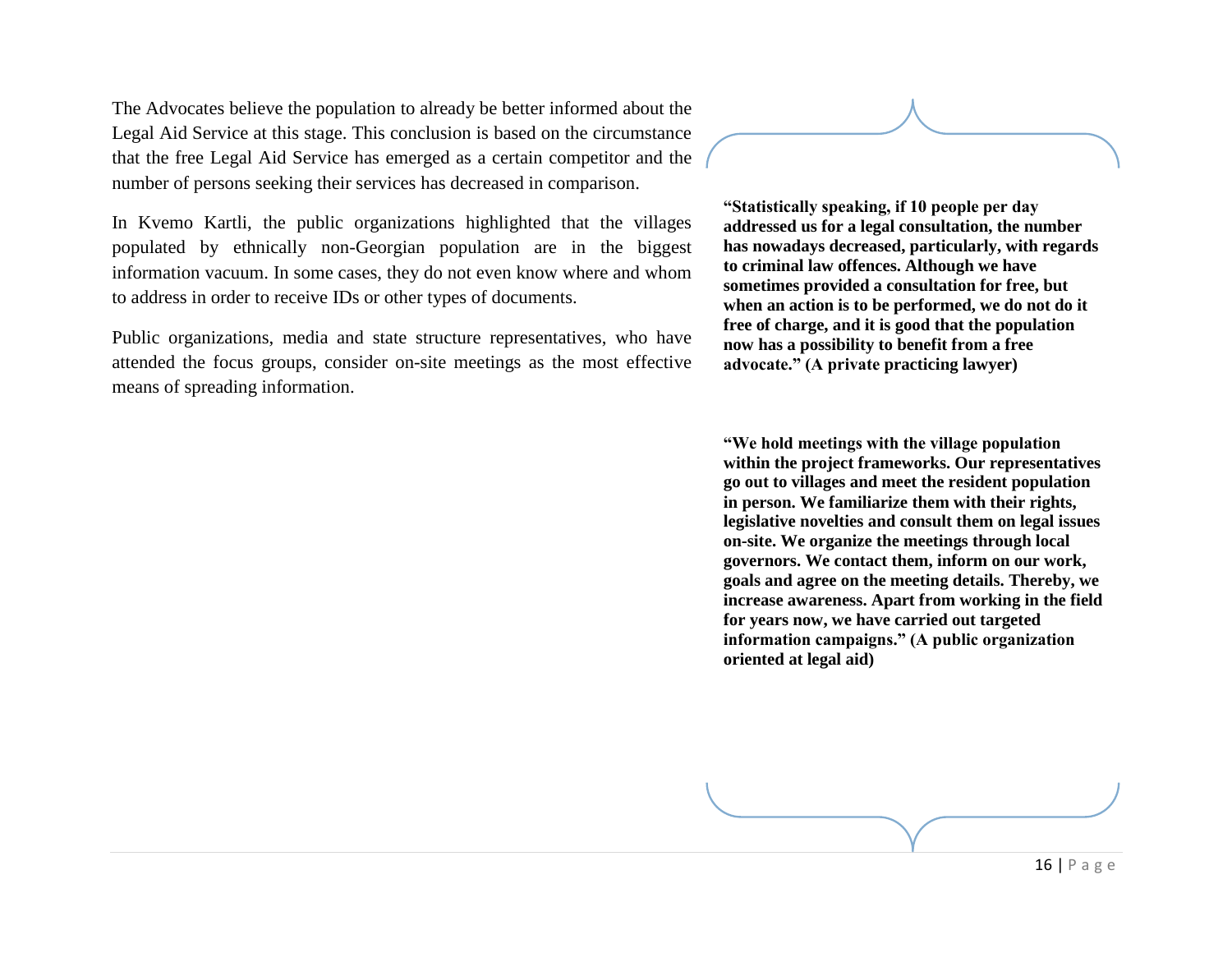The Advocates believe the population to already be better informed about the Legal Aid Service at this stage. This conclusion is based on the circumstance that the free Legal Aid Service has emerged as a certain competitor and the number of persons seeking their services has decreased in comparison.

In Kvemo Kartli, the public organizations highlighted that the villages populated by ethnically non-Georgian population are in the biggest information vacuum. In some cases, they do not even know where and whom to address in order to receive IDs or other types of documents.

Public organizations, media and state structure representatives, who have attended the focus groups, consider on-site meetings as the most effective means of spreading information.

**"Statistically speaking, if 10 people per day addressed us for a legal consultation, the number has nowadays decreased, particularly, with regards to criminal law offences. Although we have sometimes provided a consultation for free, but when an action is to be performed, we do not do it free of charge, and it is good that the population now has a possibility to benefit from a free advocate." (A private practicing lawyer)**

**"We hold meetings with the village population within the project frameworks. Our representatives go out to villages and meet the resident population in person. We familiarize them with their rights, legislative novelties and consult them on legal issues on-site. We organize the meetings through local governors. We contact them, inform on our work, goals and agree on the meeting details. Thereby, we increase awareness. Apart from working in the field for years now, we have carried out targeted information campaigns." (A public organization oriented at legal aid)**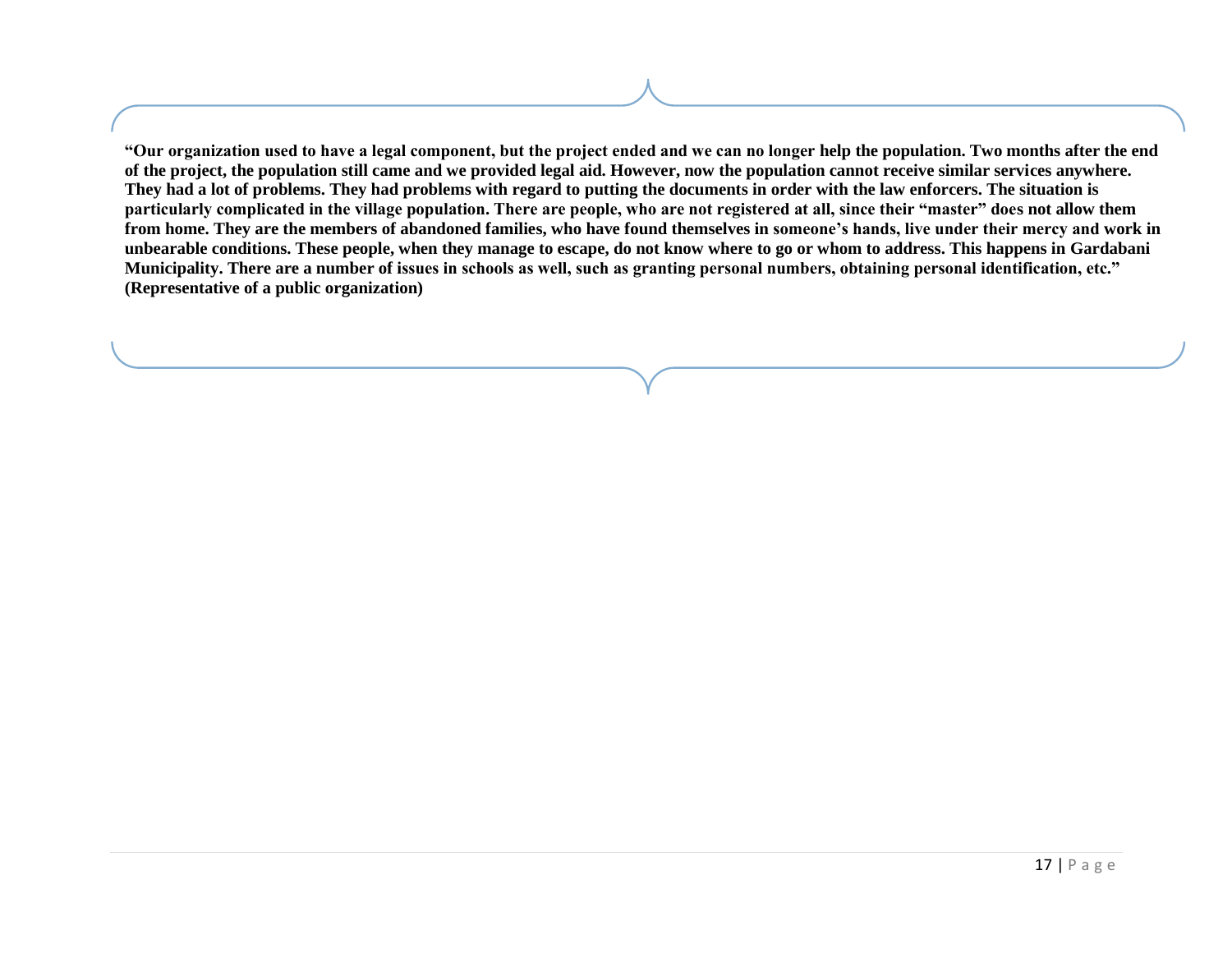**"Our organization used to have a legal component, but the project ended and we can no longer help the population. Two months after the end of the project, the population still came and we provided legal aid. However, now the population cannot receive similar services anywhere. They had a lot of problems. They had problems with regard to putting the documents in order with the law enforcers. The situation is particularly complicated in the village population. There are people, who are not registered at all, since their "master" does not allow them from home. They are the members of abandoned families, who have found themselves in someone's hands, live under their mercy and work in unbearable conditions. These people, when they manage to escape, do not know where to go or whom to address. This happens in Gardabani Municipality. There are a number of issues in schools as well, such as granting personal numbers, obtaining personal identification, etc." (Representative of a public organization)**

Ì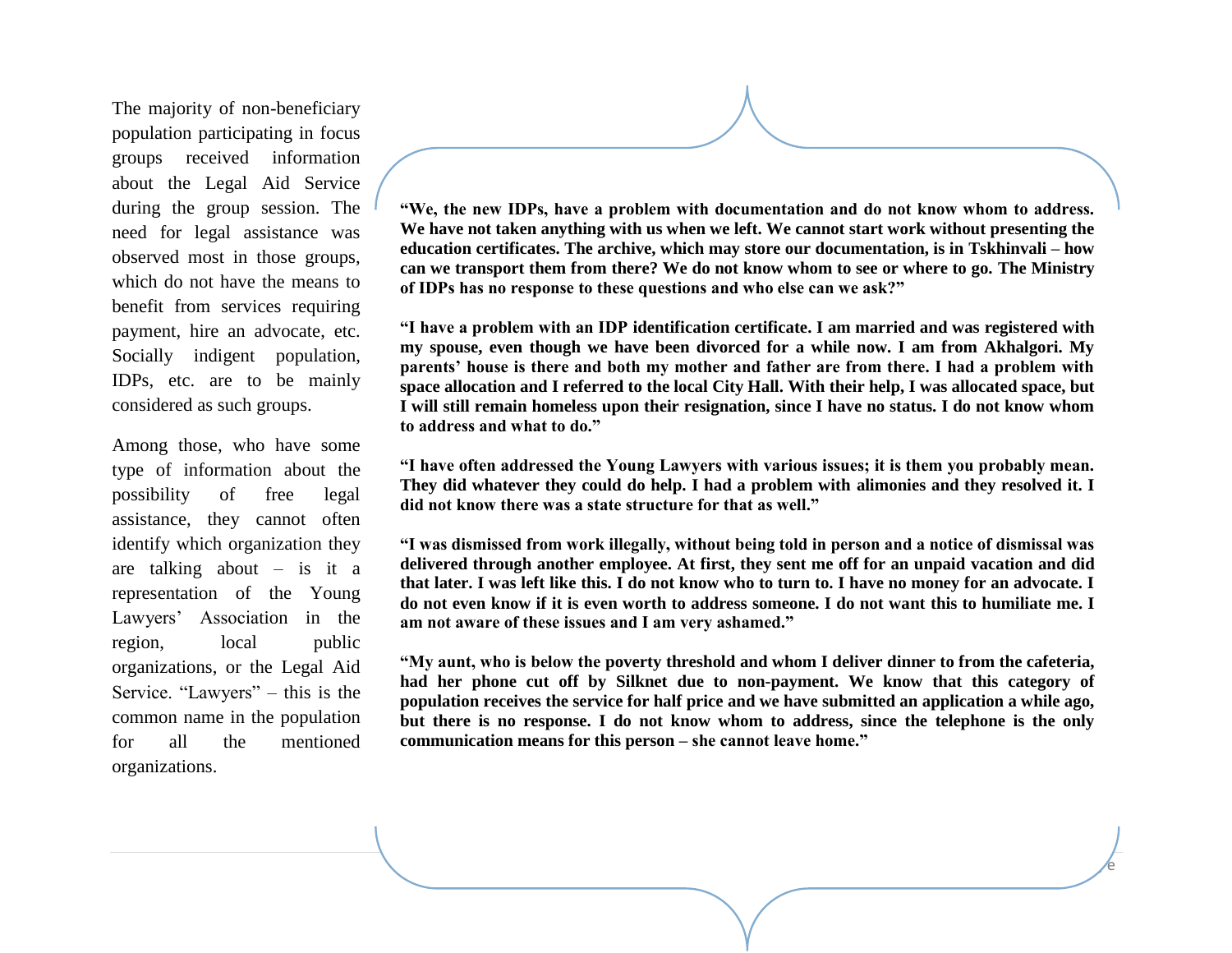The majority of non-beneficiary population participating in focus groups received information about the Legal Aid Service during the group session. The need for legal assistance was observed most in those groups, which do not have the means to benefit from services requiring payment, hire an advocate, etc. Socially indigent population, IDPs, etc. are to be mainly considered as such groups.

Among those, who have some type of information about the possibility of free legal assistance, they cannot often identify which organization they are talking about  $-$  is it a representation of the Young Lawyers' Association in the region, local public organizations, or the Legal Aid Service. "Lawyers" – this is the common name in the population for all the mentioned organizations.

**"We, the new IDPs, have a problem with documentation and do not know whom to address. We have not taken anything with us when we left. We cannot start work without presenting the education certificates. The archive, which may store our documentation, is in Tskhinvali – how can we transport them from there? We do not know whom to see or where to go. The Ministry of IDPs has no response to these questions and who else can we ask?"**

**"I have a problem with an IDP identification certificate. I am married and was registered with my spouse, even though we have been divorced for a while now. I am from Akhalgori. My parents' house is there and both my mother and father are from there. I had a problem with space allocation and I referred to the local City Hall. With their help, I was allocated space, but I will still remain homeless upon their resignation, since I have no status. I do not know whom to address and what to do."**

**"I have often addressed the Young Lawyers with various issues; it is them you probably mean. They did whatever they could do help. I had a problem with alimonies and they resolved it. I did not know there was a state structure for that as well."**

**"I was dismissed from work illegally, without being told in person and a notice of dismissal was delivered through another employee. At first, they sent me off for an unpaid vacation and did that later. I was left like this. I do not know who to turn to. I have no money for an advocate. I do not even know if it is even worth to address someone. I do not want this to humiliate me. I am not aware of these issues and I am very ashamed."**

**"My aunt, who is below the poverty threshold and whom I deliver dinner to from the cafeteria, had her phone cut off by Silknet due to non-payment. We know that this category of population receives the service for half price and we have submitted an application a while ago, but there is no response. I do not know whom to address, since the telephone is the only communication means for this person – she cannot leave home."**

 $\sqrt{e}$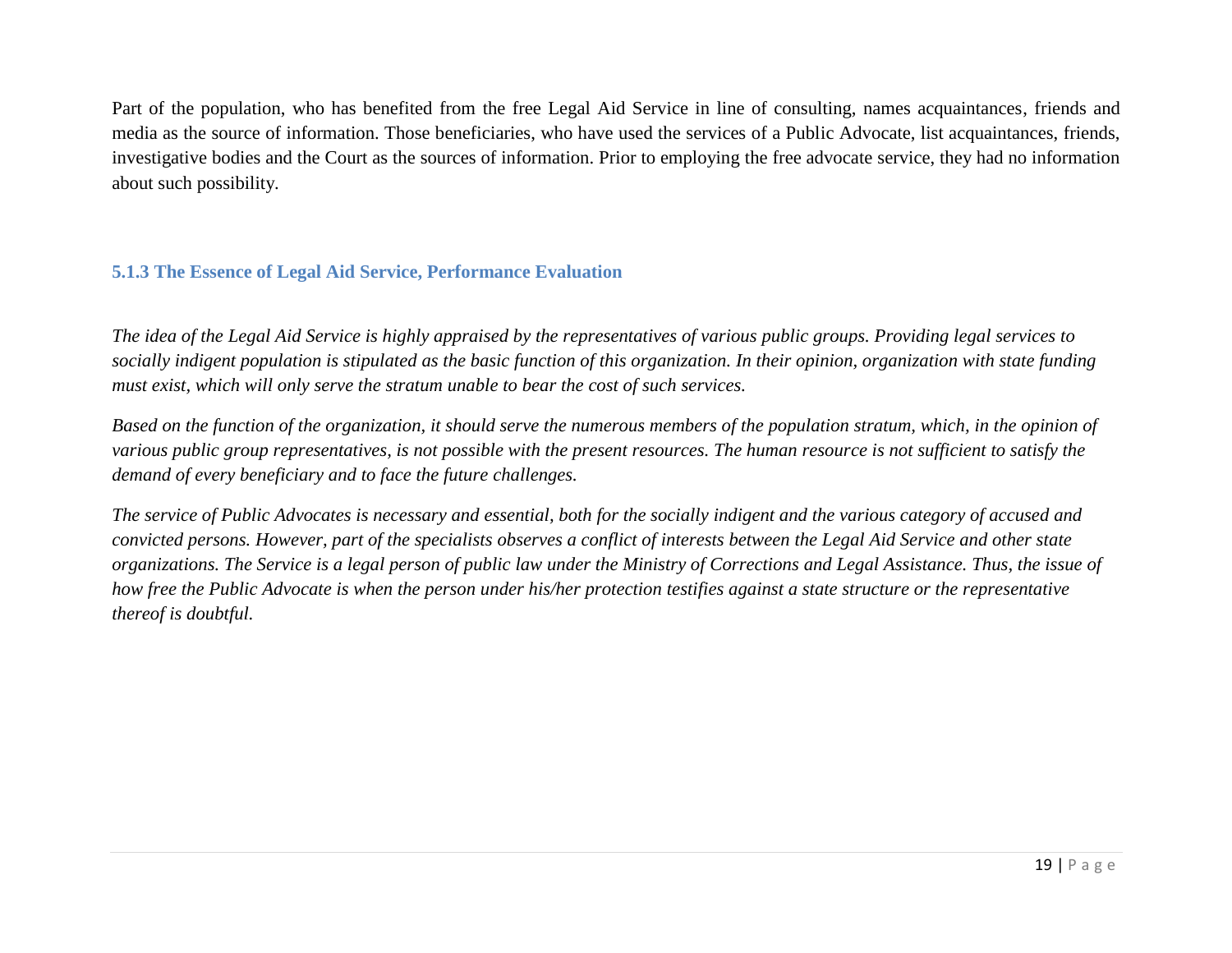Part of the population, who has benefited from the free Legal Aid Service in line of consulting, names acquaintances, friends and media as the source of information. Those beneficiaries, who have used the services of a Public Advocate, list acquaintances, friends, investigative bodies and the Court as the sources of information. Prior to employing the free advocate service, they had no information about such possibility.

# <span id="page-18-0"></span>**5.1.3 The Essence of Legal Aid Service, Performance Evaluation**

*The idea of the Legal Aid Service is highly appraised by the representatives of various public groups. Providing legal services to socially indigent population is stipulated as the basic function of this organization. In their opinion, organization with state funding must exist, which will only serve the stratum unable to bear the cost of such services.*

*Based on the function of the organization, it should serve the numerous members of the population stratum, which, in the opinion of various public group representatives, is not possible with the present resources. The human resource is not sufficient to satisfy the demand of every beneficiary and to face the future challenges.*

*The service of Public Advocates is necessary and essential, both for the socially indigent and the various category of accused and convicted persons. However, part of the specialists observes a conflict of interests between the Legal Aid Service and other state organizations. The Service is a legal person of public law under the Ministry of Corrections and Legal Assistance. Thus, the issue of how free the Public Advocate is when the person under his/her protection testifies against a state structure or the representative thereof is doubtful.*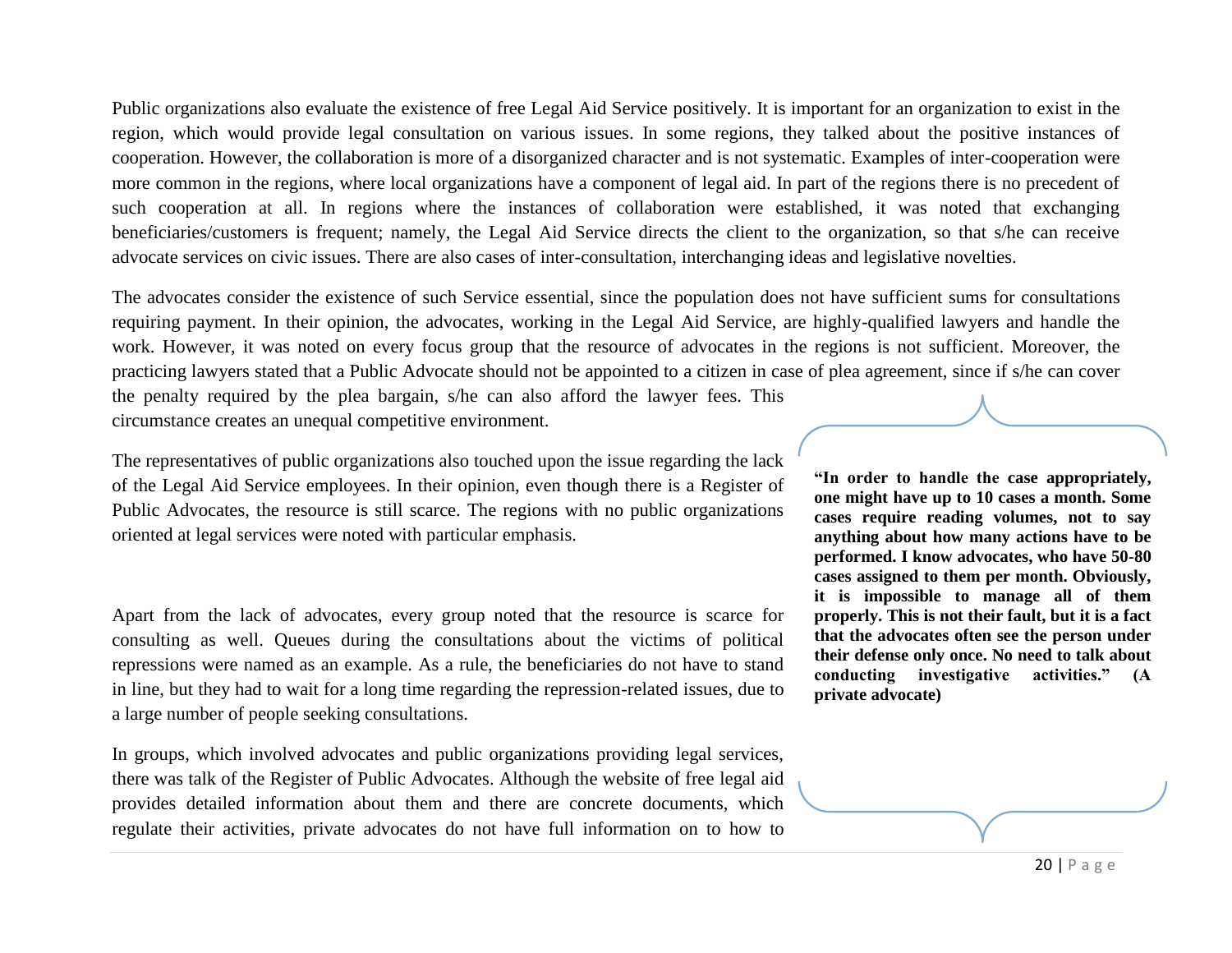Public organizations also evaluate the existence of free Legal Aid Service positively. It is important for an organization to exist in the region, which would provide legal consultation on various issues. In some regions, they talked about the positive instances of cooperation. However, the collaboration is more of a disorganized character and is not systematic. Examples of inter-cooperation were more common in the regions, where local organizations have a component of legal aid. In part of the regions there is no precedent of such cooperation at all. In regions where the instances of collaboration were established, it was noted that exchanging beneficiaries/customers is frequent; namely, the Legal Aid Service directs the client to the organization, so that s/he can receive advocate services on civic issues. There are also cases of inter-consultation, interchanging ideas and legislative novelties.

The advocates consider the existence of such Service essential, since the population does not have sufficient sums for consultations requiring payment. In their opinion, the advocates, working in the Legal Aid Service, are highly-qualified lawyers and handle the work. However, it was noted on every focus group that the resource of advocates in the regions is not sufficient. Moreover, the practicing lawyers stated that a Public Advocate should not be appointed to a citizen in case of plea agreement, since if s/he can cover the penalty required by the plea bargain, s/he can also afford the lawyer fees. This circumstance creates an unequal competitive environment.

The representatives of public organizations also touched upon the issue regarding the lack of the Legal Aid Service employees. In their opinion, even though there is a Register of Public Advocates, the resource is still scarce. The regions with no public organizations oriented at legal services were noted with particular emphasis.

Apart from the lack of advocates, every group noted that the resource is scarce for consulting as well. Queues during the consultations about the victims of political repressions were named as an example. As a rule, the beneficiaries do not have to stand in line, but they had to wait for a long time regarding the repression-related issues, due to a large number of people seeking consultations.

In groups, which involved advocates and public organizations providing legal services, there was talk of the Register of Public Advocates. Although the website of free legal aid provides detailed information about them and there are concrete documents, which regulate their activities, private advocates do not have full information on to how to **"In order to handle the case appropriately, one might have up to 10 cases a month. Some cases require reading volumes, not to say anything about how many actions have to be performed. I know advocates, who have 50-80 cases assigned to them per month. Obviously, it is impossible to manage all of them properly. This is not their fault, but it is a fact that the advocates often see the person under their defense only once. No need to talk about conducting investigative activities." (A private advocate)**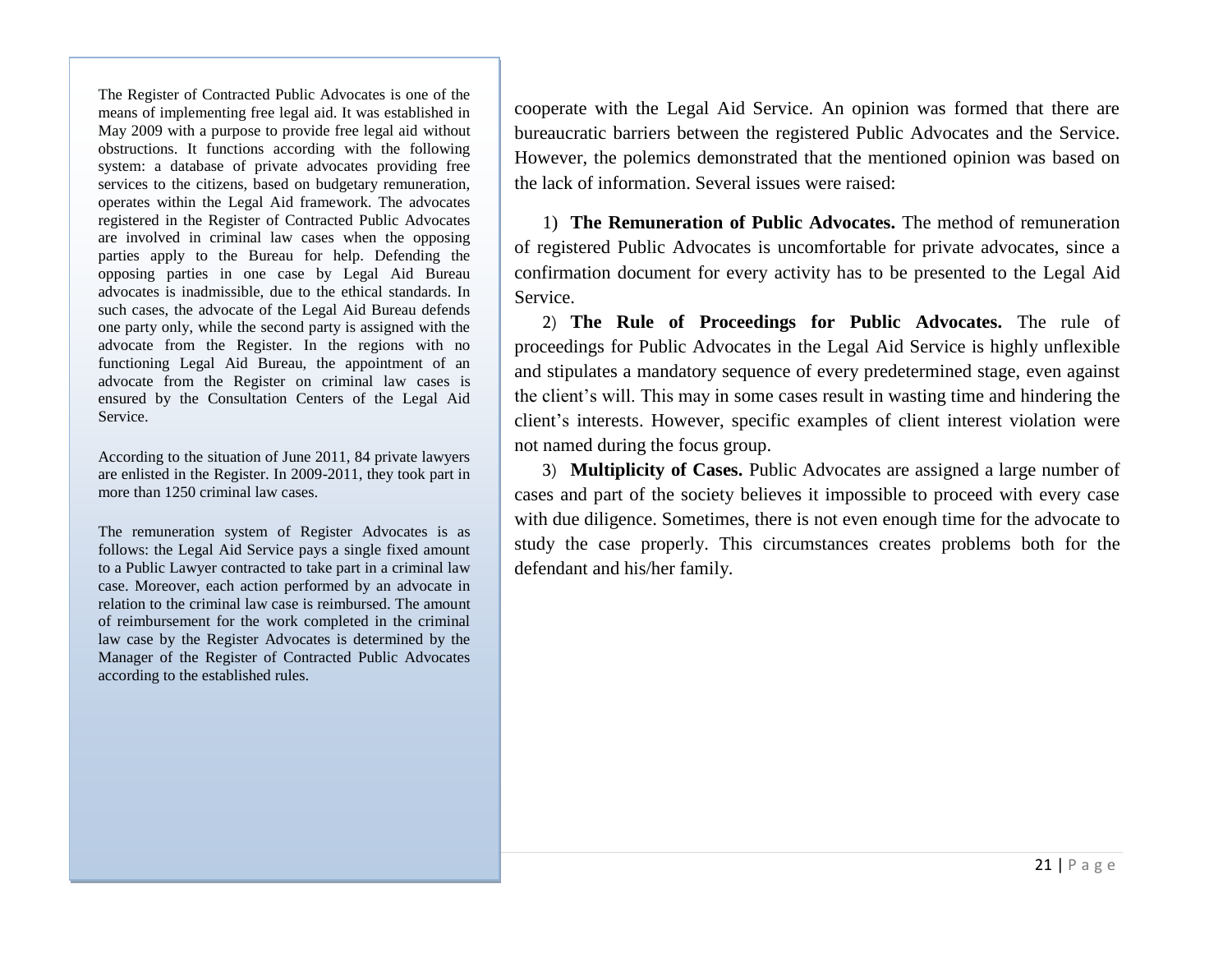The Register of Contracted Public Advocates is one of the means of implementing free legal aid. It was established in May 2009 with a purpose to provide free legal aid without obstructions. It functions according with the following system: a database of private advocates providing free services to the citizens, based on budgetary remuneration, operates within the Legal Aid framework. The advocates registered in the Register of Contracted Public Advocates are involved in criminal law cases when the opposing parties apply to the Bureau for help. Defending the opposing parties in one case by Legal Aid Bureau advocates is inadmissible, due to the ethical standards. In such cases, the advocate of the Legal Aid Bureau defends one party only, while the second party is assigned with the advocate from the Register. In the regions with no functioning Legal Aid Bureau, the appointment of an advocate from the Register on criminal law cases is ensured by the Consultation Centers of the Legal Aid Service.

According to the situation of June 2011, 84 private lawyers are enlisted in the Register. In 2009-2011, they took part in more than 1250 criminal law cases.

The remuneration system of Register Advocates is as follows: the Legal Aid Service pays a single fixed amount to a Public Lawyer contracted to take part in a criminal law case. Moreover, each action performed by an advocate in relation to the criminal law case is reimbursed. The amount of reimbursement for the work completed in the criminal law case by the Register Advocates is determined by the Manager of the Register of Contracted Public Advocates according to the established rules.

cooperate with the Legal Aid Service. An opinion was formed that there are bureaucratic barriers between the registered Public Advocates and the Service. However, the polemics demonstrated that the mentioned opinion was based on the lack of information. Several issues were raised:

1) **The Remuneration of Public Advocates.** The method of remuneration of registered Public Advocates is uncomfortable for private advocates, since a confirmation document for every activity has to be presented to the Legal Aid Service.

2) **The Rule of Proceedings for Public Advocates.** The rule of proceedings for Public Advocates in the Legal Aid Service is highly unflexible and stipulates a mandatory sequence of every predetermined stage, even against the client's will. This may in some cases result in wasting time and hindering the client's interests. However, specific examples of client interest violation were not named during the focus group.

3) **Multiplicity of Cases.** Public Advocates are assigned a large number of cases and part of the society believes it impossible to proceed with every case with due diligence. Sometimes, there is not even enough time for the advocate to study the case properly. This circumstances creates problems both for the defendant and his/her family.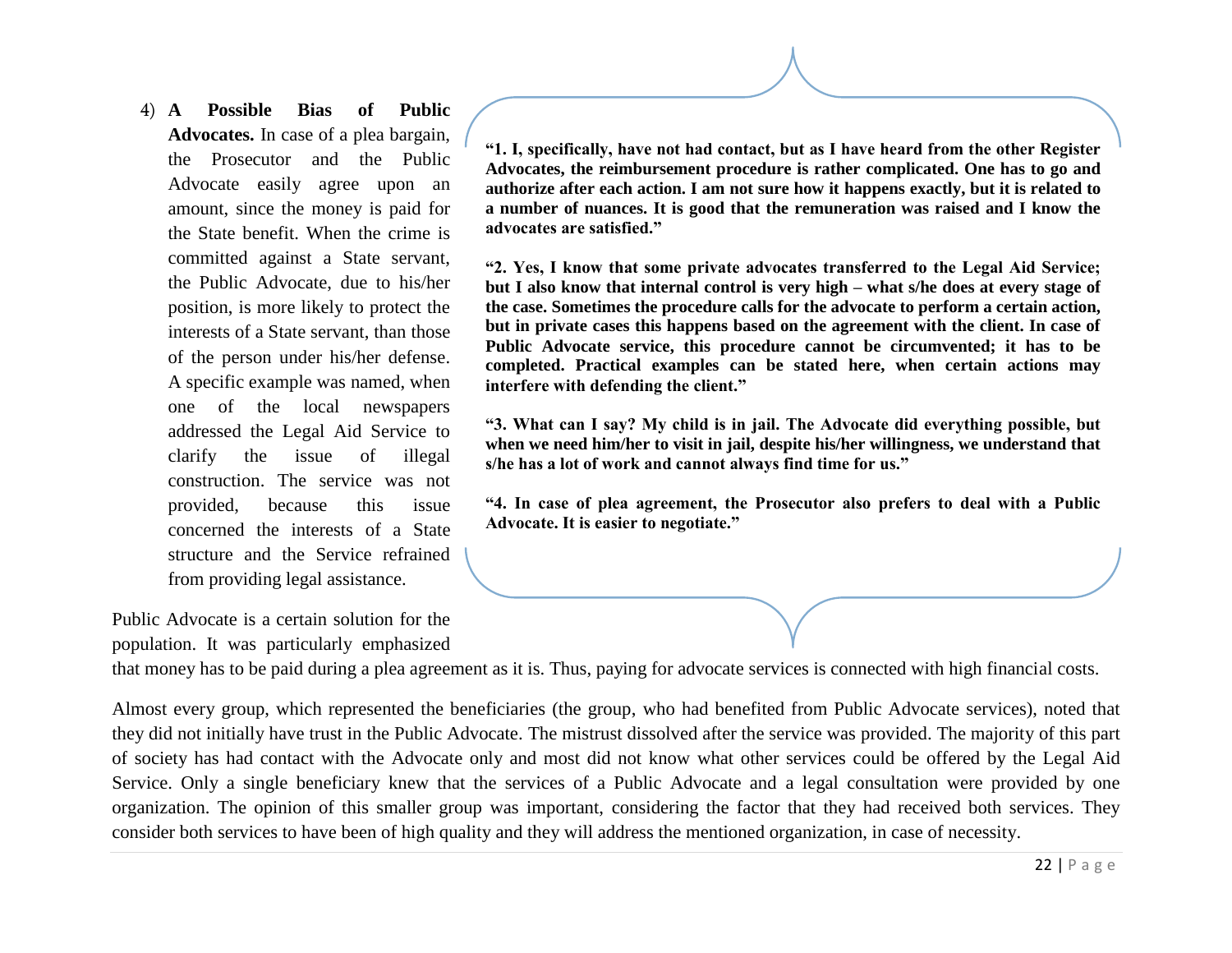4) **A Possible Bias of Public Advocates.** In case of a plea bargain, the Prosecutor and the Public Advocate easily agree upon an amount, since the money is paid for the State benefit. When the crime is committed against a State servant, the Public Advocate, due to his/her position, is more likely to protect the interests of a State servant, than those of the person under his/her defense. A specific example was named, when one of the local newspapers addressed the Legal Aid Service to clarify the issue of illegal construction. The service was not provided, because this issue concerned the interests of a State structure and the Service refrained from providing legal assistance.

Public Advocate is a certain solution for the population. It was particularly emphasized **"1. I, specifically, have not had contact, but as I have heard from the other Register Advocates, the reimbursement procedure is rather complicated. One has to go and authorize after each action. I am not sure how it happens exactly, but it is related to a number of nuances. It is good that the remuneration was raised and I know the advocates are satisfied."**

**"2. Yes, I know that some private advocates transferred to the Legal Aid Service; but I also know that internal control is very high – what s/he does at every stage of the case. Sometimes the procedure calls for the advocate to perform a certain action, but in private cases this happens based on the agreement with the client. In case of Public Advocate service, this procedure cannot be circumvented; it has to be completed. Practical examples can be stated here, when certain actions may interfere with defending the client."**

**"3. What can I say? My child is in jail. The Advocate did everything possible, but when we need him/her to visit in jail, despite his/her willingness, we understand that s/he has a lot of work and cannot always find time for us."**

**"4. In case of plea agreement, the Prosecutor also prefers to deal with a Public Advocate. It is easier to negotiate."**

that money has to be paid during a plea agreement as it is. Thus, paying for advocate services is connected with high financial costs.

Almost every group, which represented the beneficiaries (the group, who had benefited from Public Advocate services), noted that they did not initially have trust in the Public Advocate. The mistrust dissolved after the service was provided. The majority of this part of society has had contact with the Advocate only and most did not know what other services could be offered by the Legal Aid Service. Only a single beneficiary knew that the services of a Public Advocate and a legal consultation were provided by one organization. The opinion of this smaller group was important, considering the factor that they had received both services. They consider both services to have been of high quality and they will address the mentioned organization, in case of necessity.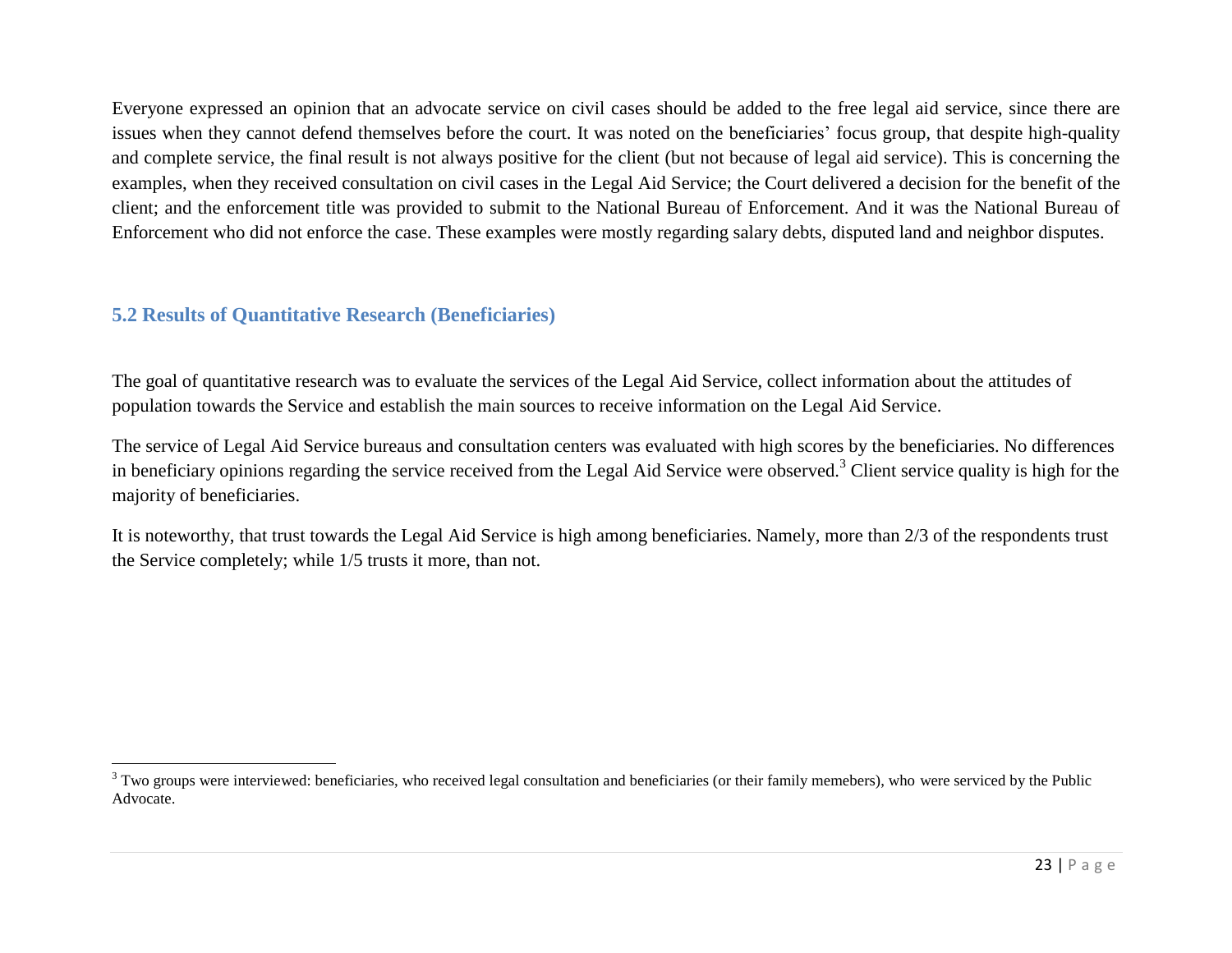Everyone expressed an opinion that an advocate service on civil cases should be added to the free legal aid service, since there are issues when they cannot defend themselves before the court. It was noted on the beneficiaries' focus group, that despite high-quality and complete service, the final result is not always positive for the client (but not because of legal aid service). This is concerning the examples, when they received consultation on civil cases in the Legal Aid Service; the Court delivered a decision for the benefit of the client; and the enforcement title was provided to submit to the National Bureau of Enforcement. And it was the National Bureau of Enforcement who did not enforce the case. These examples were mostly regarding salary debts, disputed land and neighbor disputes.

# <span id="page-22-0"></span>**5.2 Results of Quantitative Research (Beneficiaries)**

 $\overline{a}$ 

The goal of quantitative research was to evaluate the services of the Legal Aid Service, collect information about the attitudes of population towards the Service and establish the main sources to receive information on the Legal Aid Service.

The service of Legal Aid Service bureaus and consultation centers was evaluated with high scores by the beneficiaries. No differences in beneficiary opinions regarding the service received from the Legal Aid Service were observed.<sup>3</sup> Client service quality is high for the majority of beneficiaries.

It is noteworthy, that trust towards the Legal Aid Service is high among beneficiaries. Namely, more than 2/3 of the respondents trust the Service completely; while 1/5 trusts it more, than not.

<sup>&</sup>lt;sup>3</sup> Two groups were interviewed: beneficiaries, who received legal consultation and beneficiaries (or their family memebers), who were serviced by the Public Advocate.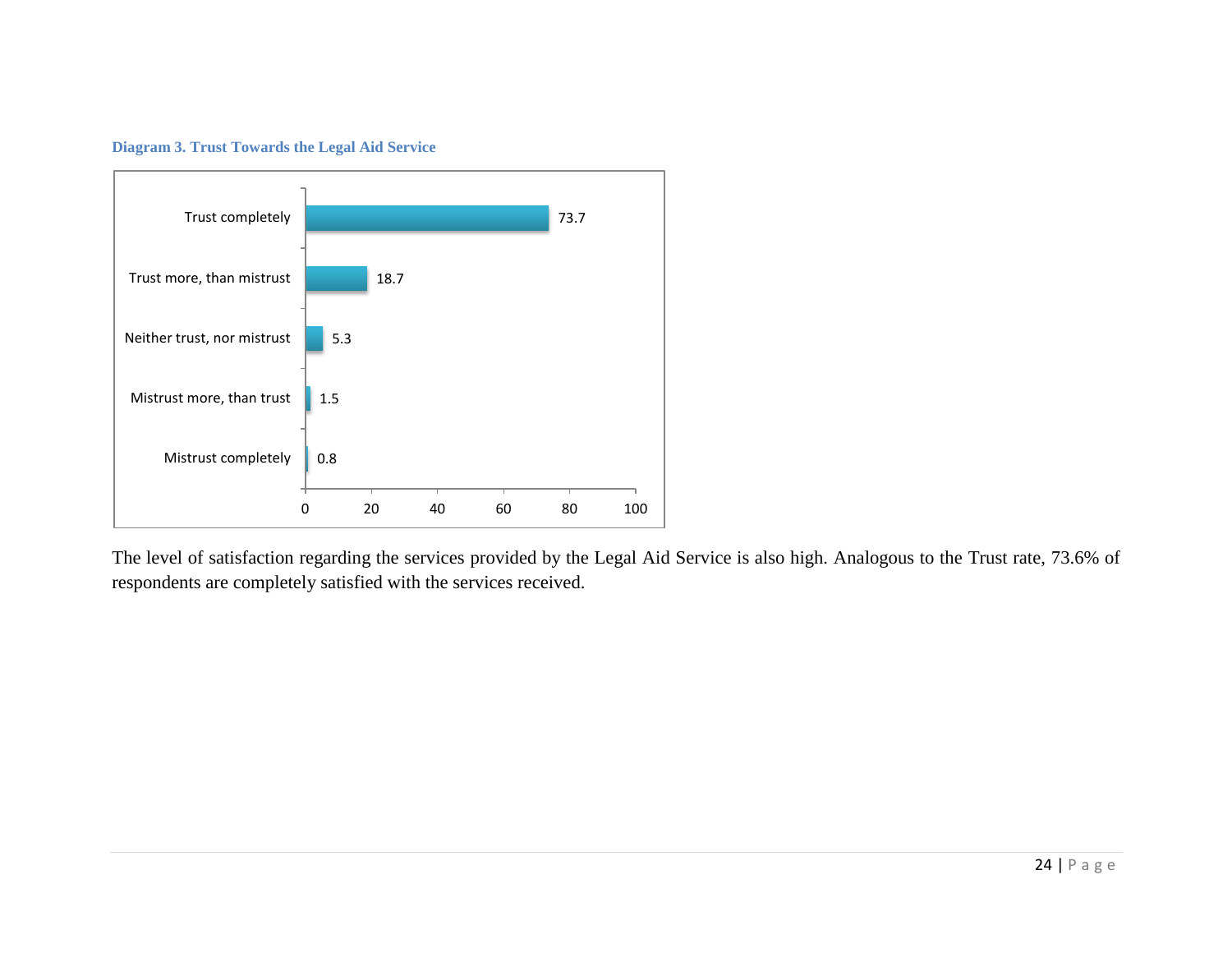



The level of satisfaction regarding the services provided by the Legal Aid Service is also high. Analogous to the Trust rate, 73.6% of respondents are completely satisfied with the services received.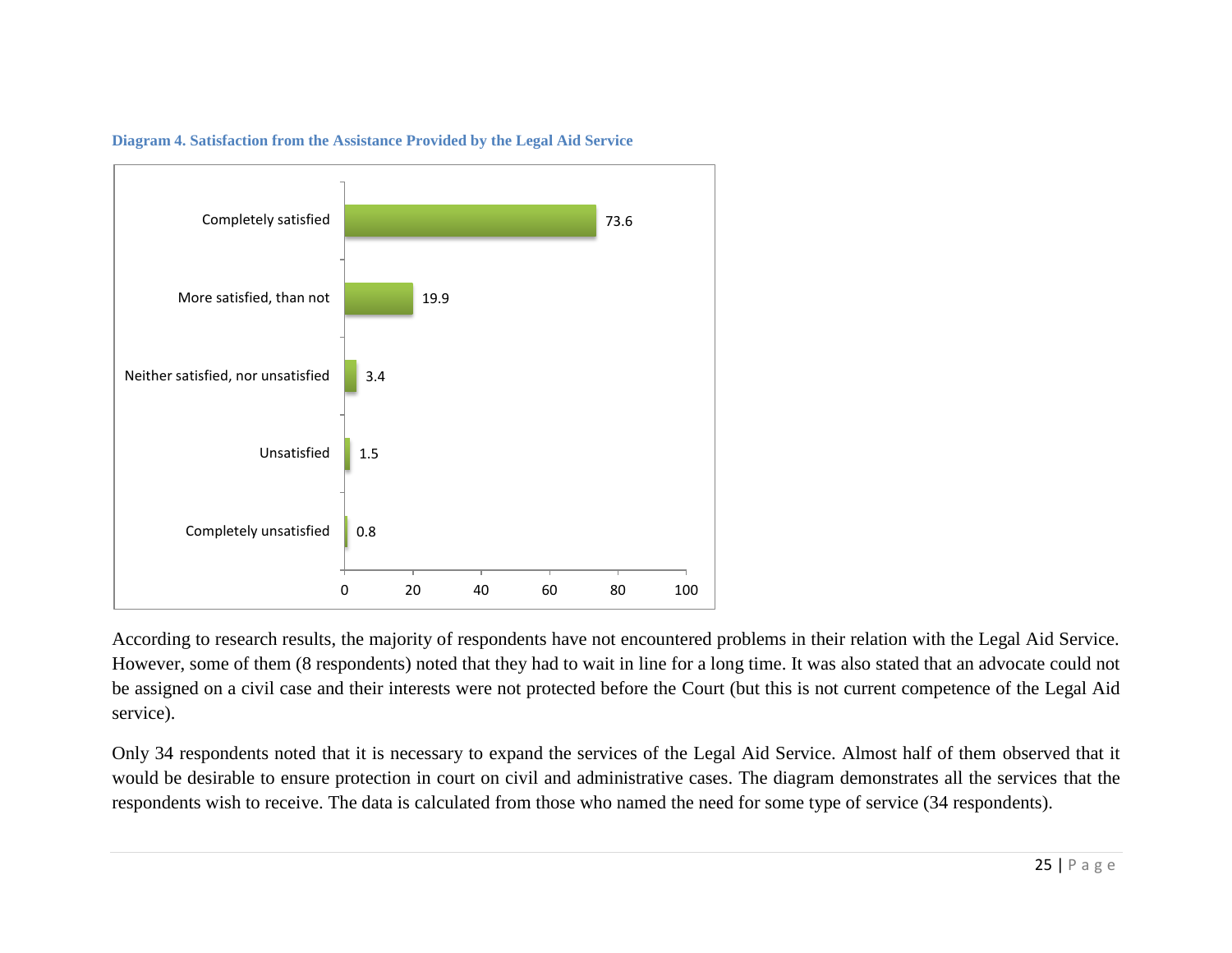

**Diagram 4. Satisfaction from the Assistance Provided by the Legal Aid Service** 

According to research results, the majority of respondents have not encountered problems in their relation with the Legal Aid Service. However, some of them (8 respondents) noted that they had to wait in line for a long time. It was also stated that an advocate could not be assigned on a civil case and their interests were not protected before the Court (but this is not current competence of the Legal Aid service).

Only 34 respondents noted that it is necessary to expand the services of the Legal Aid Service. Almost half of them observed that it would be desirable to ensure protection in court on civil and administrative cases. The diagram demonstrates all the services that the respondents wish to receive. The data is calculated from those who named the need for some type of service (34 respondents).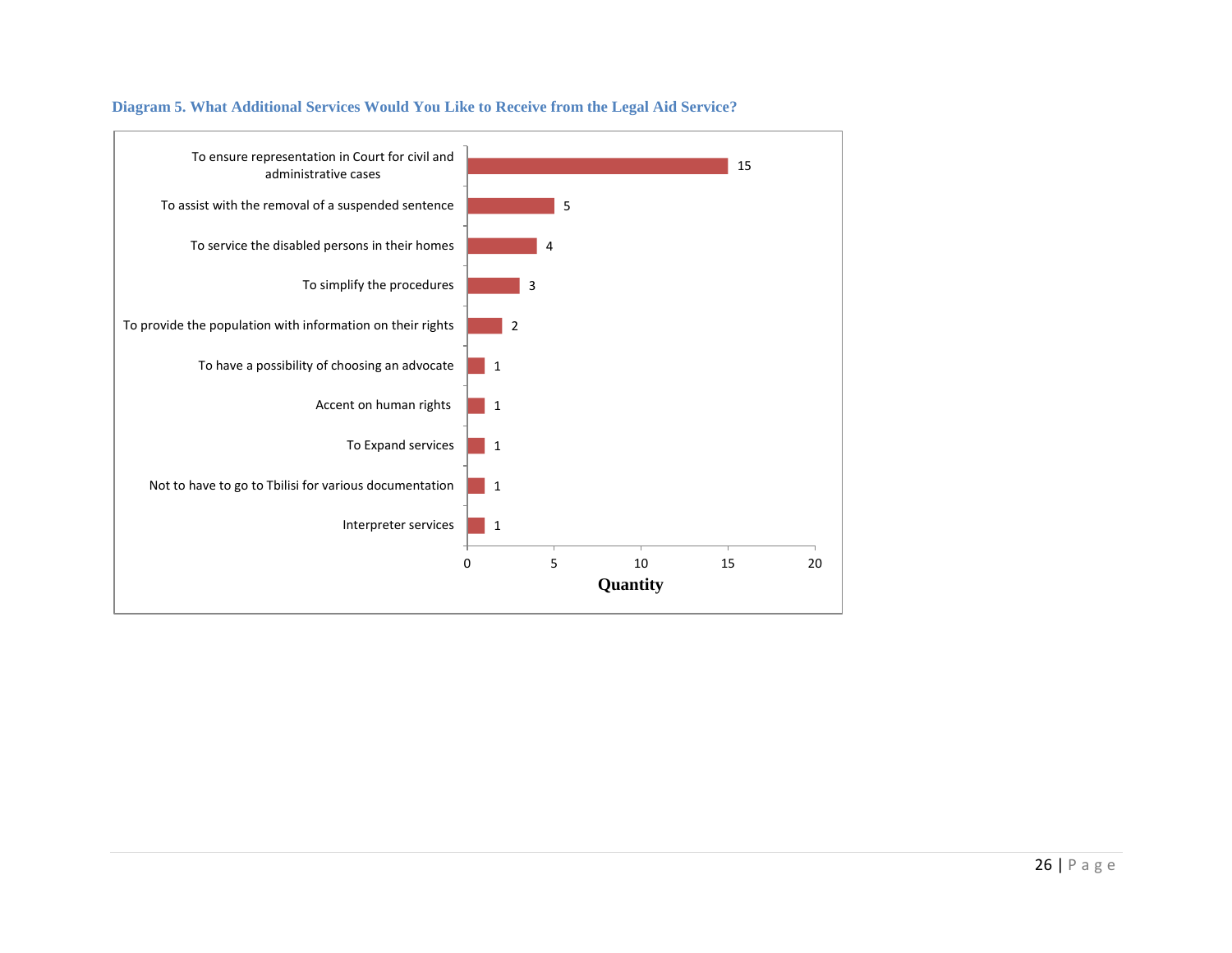

#### **Diagram 5. What Additional Services Would You Like to Receive from the Legal Aid Service?**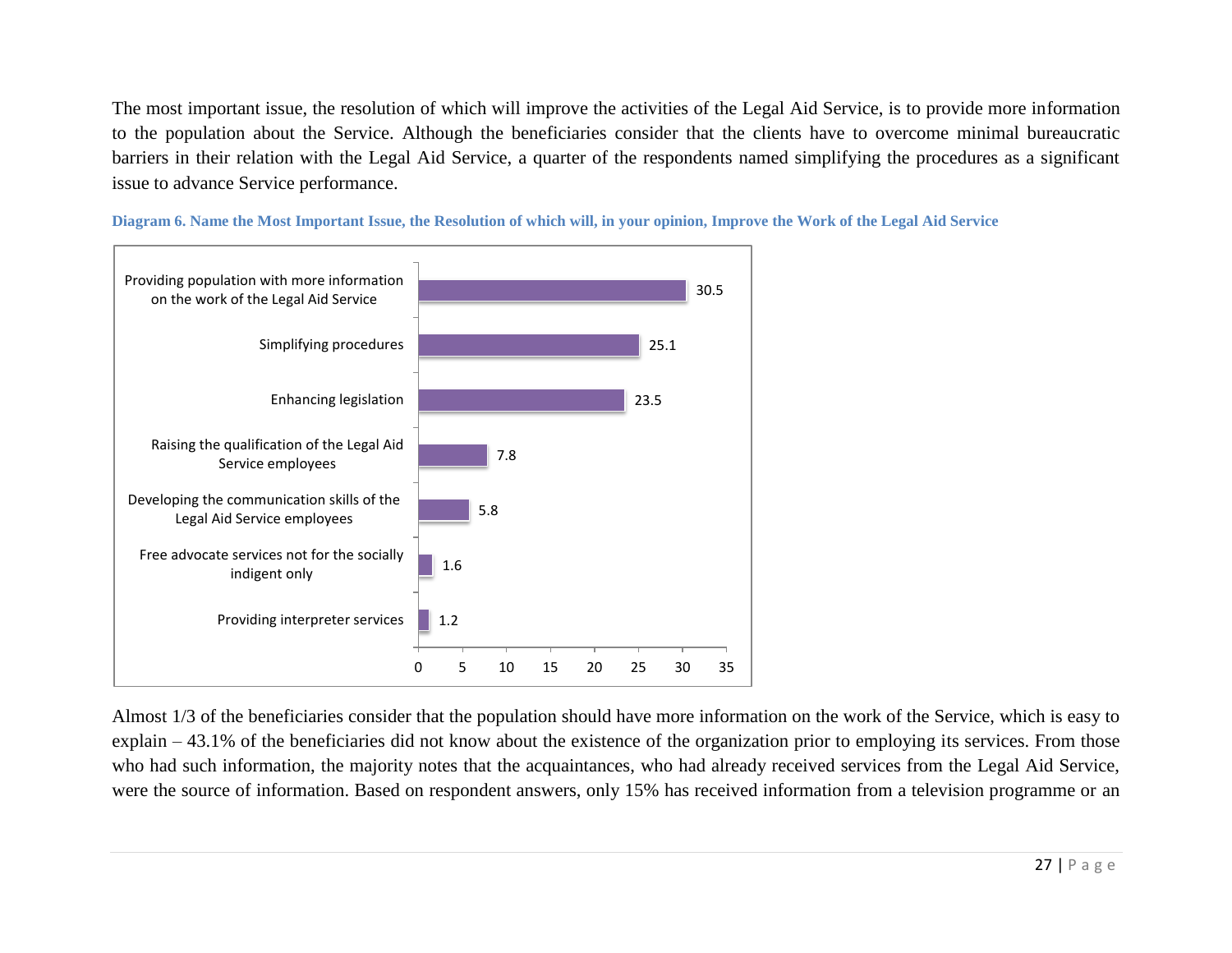The most important issue, the resolution of which will improve the activities of the Legal Aid Service, is to provide more information to the population about the Service. Although the beneficiaries consider that the clients have to overcome minimal bureaucratic barriers in their relation with the Legal Aid Service, a quarter of the respondents named simplifying the procedures as a significant issue to advance Service performance.



**Diagram 6. Name the Most Important Issue, the Resolution of which will, in your opinion, Improve the Work of the Legal Aid Service** 

Almost 1/3 of the beneficiaries consider that the population should have more information on the work of the Service, which is easy to explain – 43.1% of the beneficiaries did not know about the existence of the organization prior to employing its services. From those who had such information, the majority notes that the acquaintances, who had already received services from the Legal Aid Service, were the source of information. Based on respondent answers, only 15% has received information from a television programme or an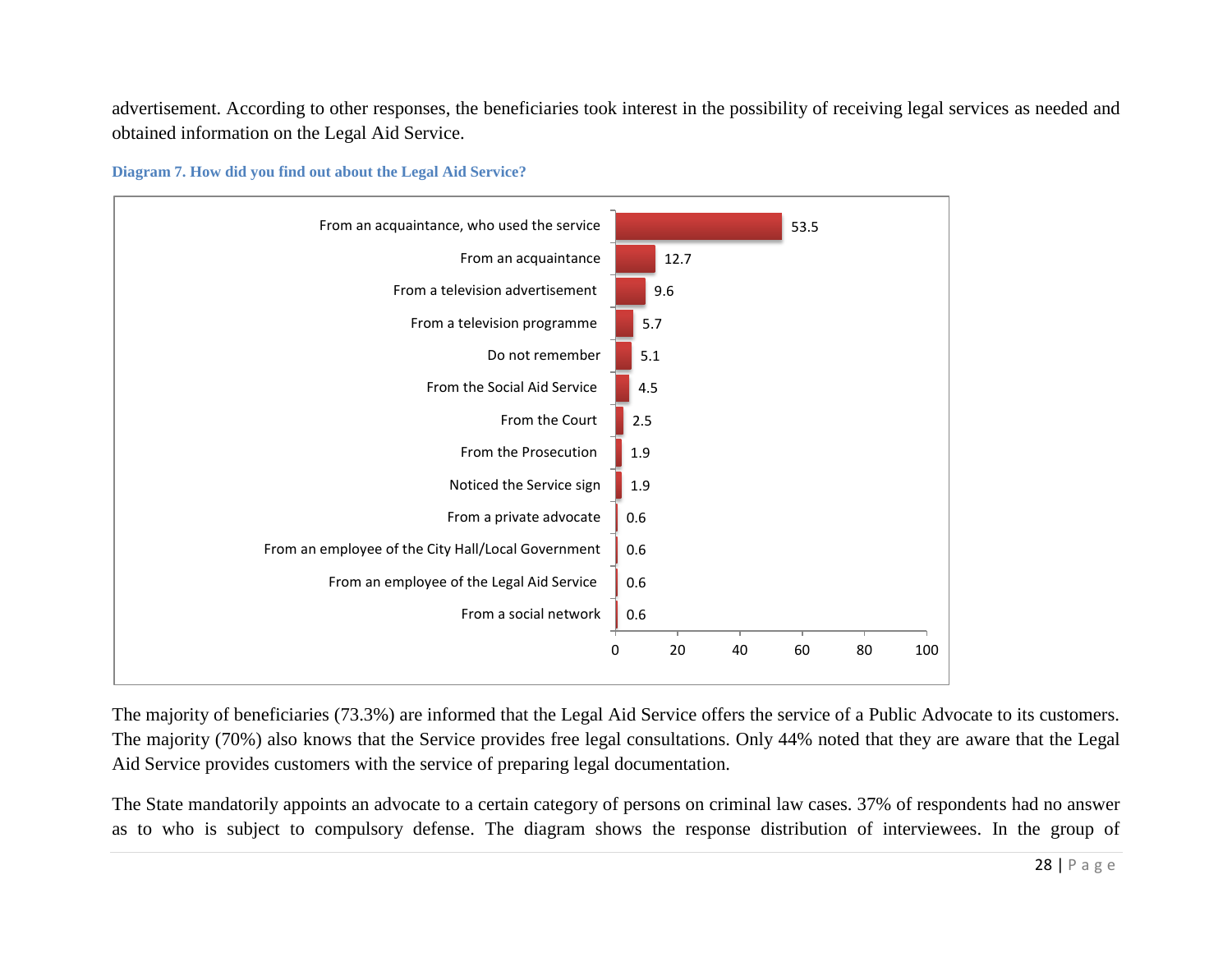advertisement. According to other responses, the beneficiaries took interest in the possibility of receiving legal services as needed and obtained information on the Legal Aid Service.





The majority of beneficiaries (73.3%) are informed that the Legal Aid Service offers the service of a Public Advocate to its customers. The majority (70%) also knows that the Service provides free legal consultations. Only 44% noted that they are aware that the Legal Aid Service provides customers with the service of preparing legal documentation.

The State mandatorily appoints an advocate to a certain category of persons on criminal law cases. 37% of respondents had no answer as to who is subject to compulsory defense. The diagram shows the response distribution of interviewees. In the group of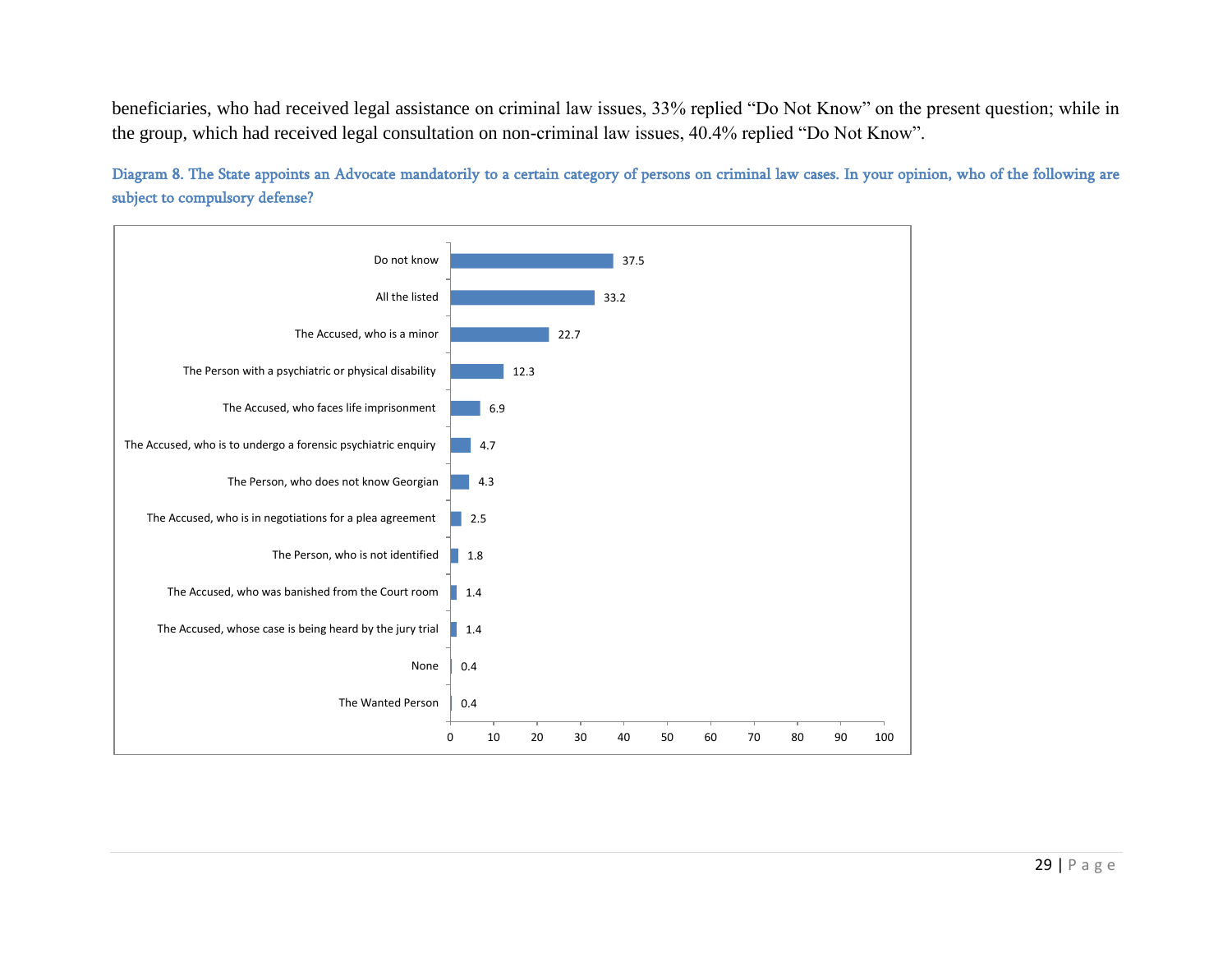beneficiaries, who had received legal assistance on criminal law issues, 33% replied "Do Not Know" on the present question; while in the group, which had received legal consultation on non-criminal law issues, 40.4% replied "Do Not Know".

Diagram 8. The State appoints an Advocate mandatorily to a certain category of persons on criminal law cases. In your opinion, who of the following are subject to compulsory defense?

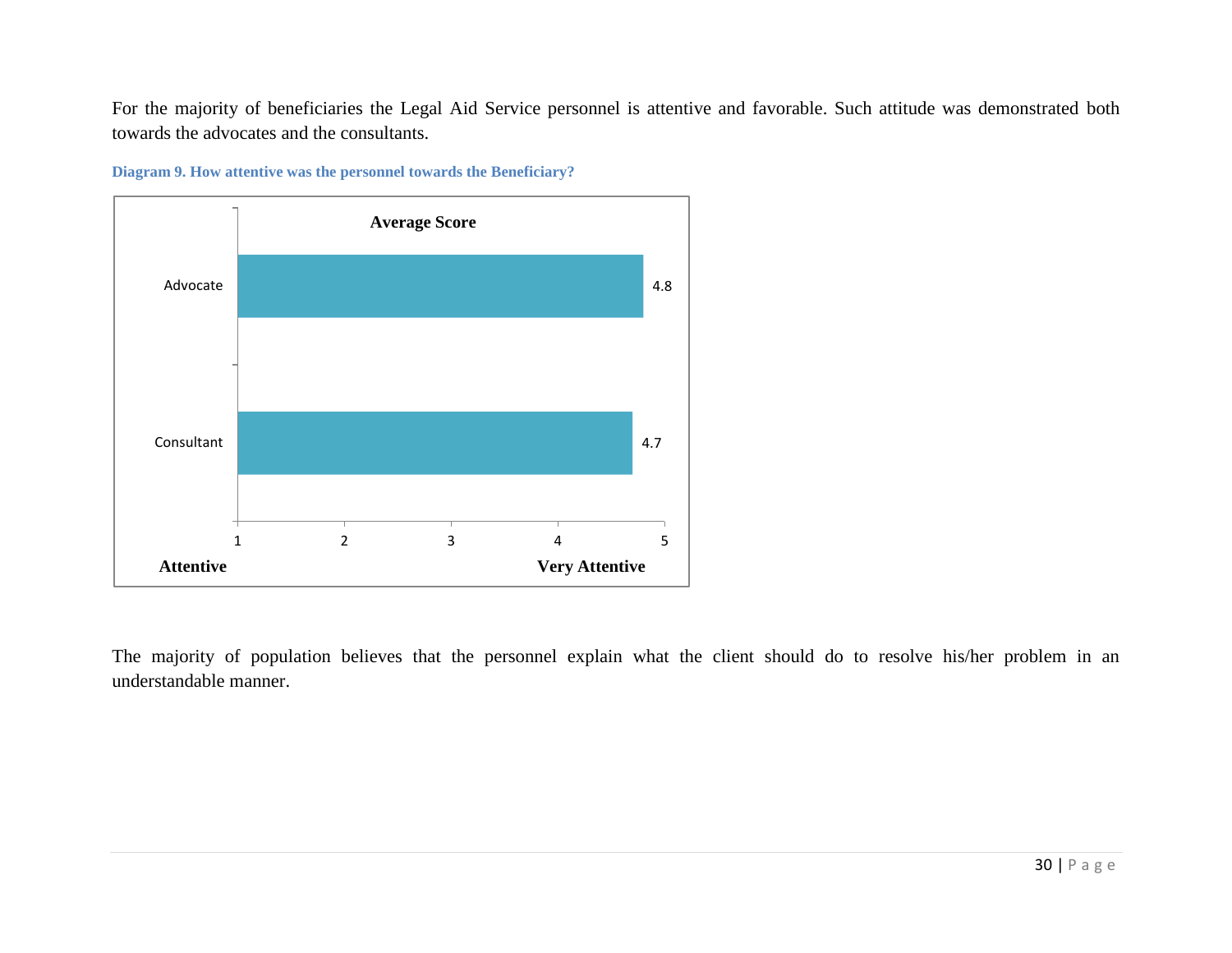For the majority of beneficiaries the Legal Aid Service personnel is attentive and favorable. Such attitude was demonstrated both towards the advocates and the consultants.



**Diagram 9. How attentive was the personnel towards the Beneficiary?**

The majority of population believes that the personnel explain what the client should do to resolve his/her problem in an understandable manner.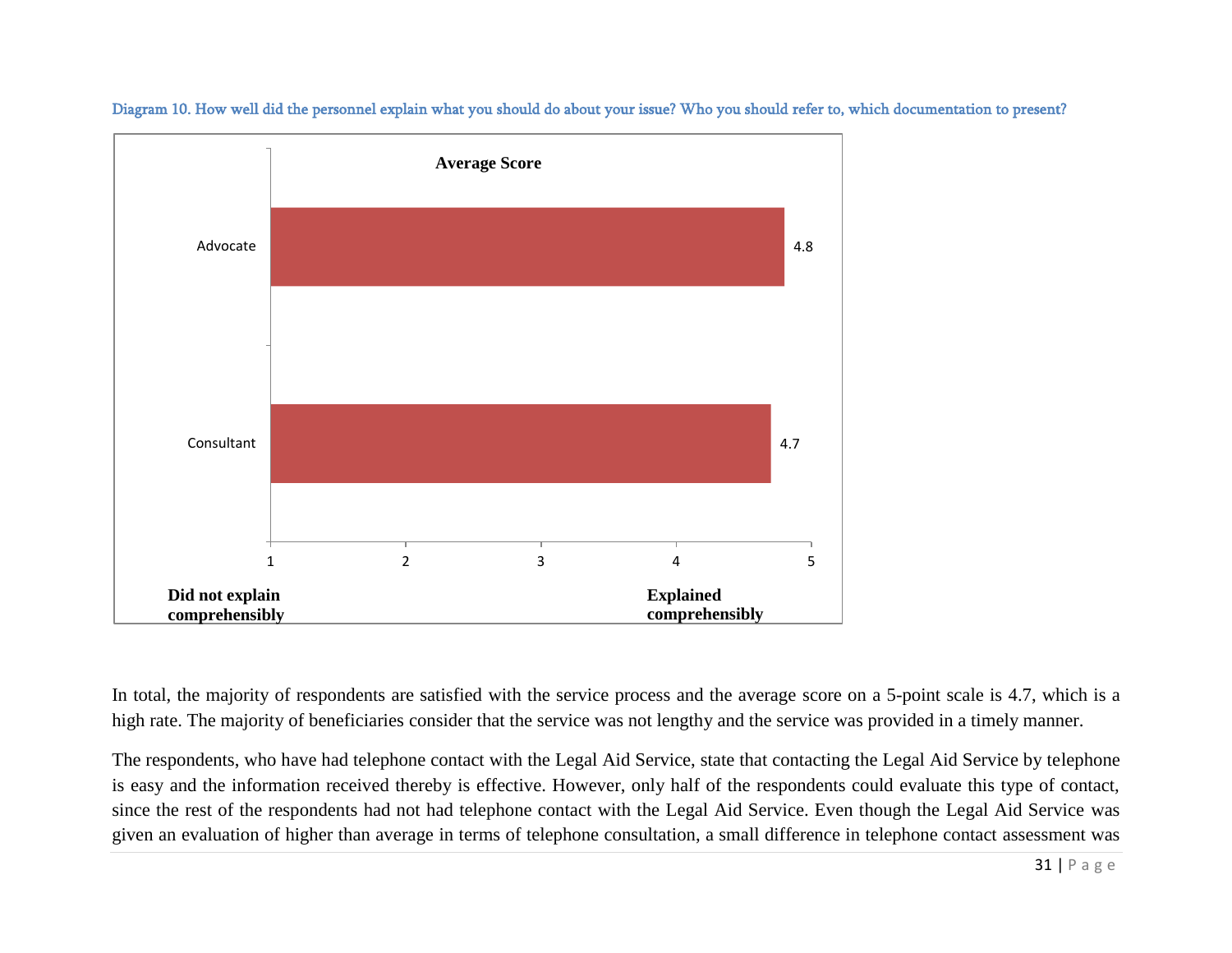

Diagram 10. How well did the personnel explain what you should do about your issue? Who you should refer to, which documentation to present?

In total, the majority of respondents are satisfied with the service process and the average score on a 5-point scale is 4.7, which is a high rate. The majority of beneficiaries consider that the service was not lengthy and the service was provided in a timely manner.

The respondents, who have had telephone contact with the Legal Aid Service, state that contacting the Legal Aid Service by telephone is easy and the information received thereby is effective. However, only half of the respondents could evaluate this type of contact, since the rest of the respondents had not had telephone contact with the Legal Aid Service. Even though the Legal Aid Service was given an evaluation of higher than average in terms of telephone consultation, a small difference in telephone contact assessment was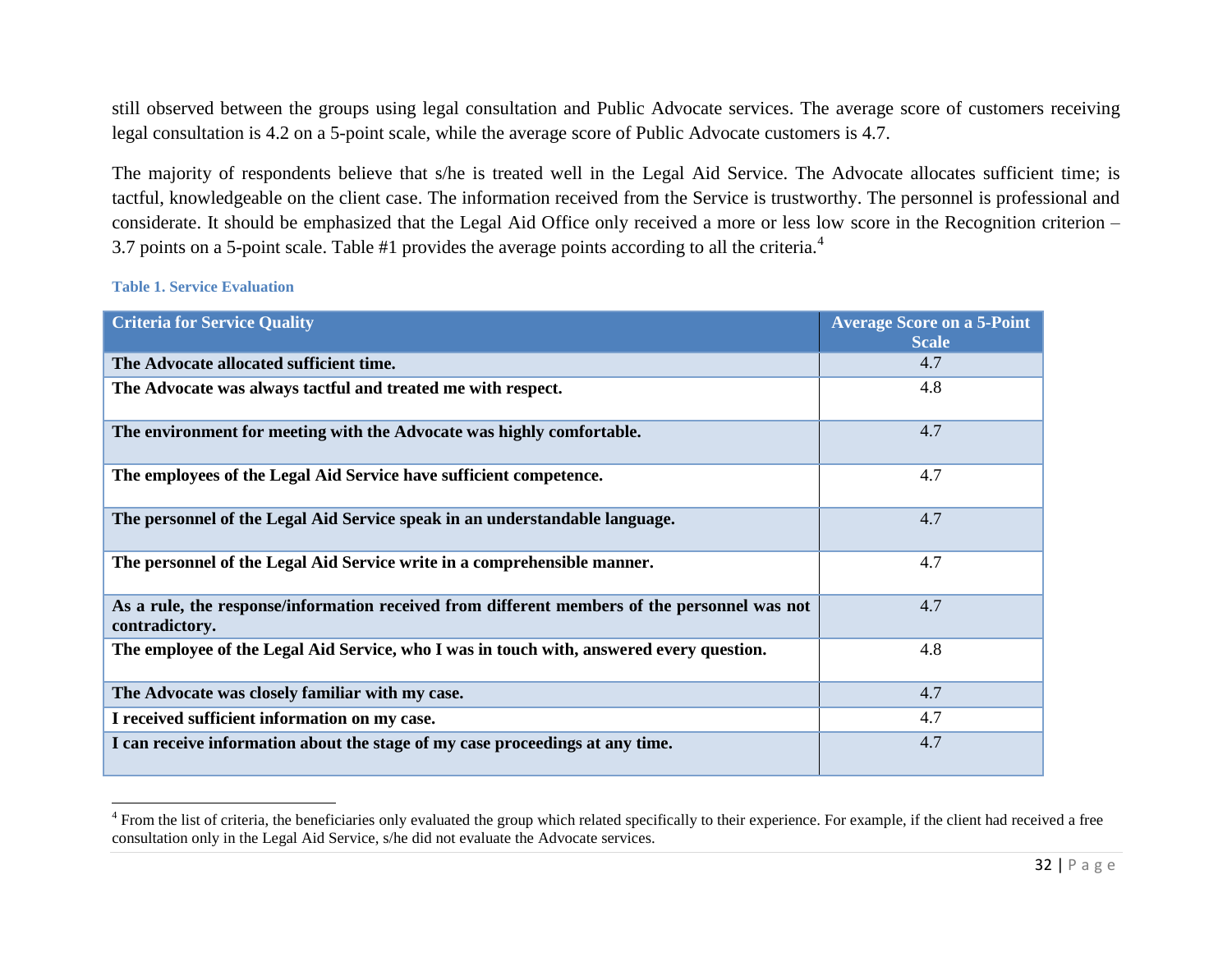still observed between the groups using legal consultation and Public Advocate services. The average score of customers receiving legal consultation is 4.2 on a 5-point scale, while the average score of Public Advocate customers is 4.7.

The majority of respondents believe that s/he is treated well in the Legal Aid Service. The Advocate allocates sufficient time; is tactful, knowledgeable on the client case. The information received from the Service is trustworthy. The personnel is professional and considerate. It should be emphasized that the Legal Aid Office only received a more or less low score in the Recognition criterion – 3.7 points on a 5-point scale. Table #1 provides the average points according to all the criteria.<sup>4</sup>

#### **Table 1. Service Evaluation**

| <b>Criteria for Service Quality</b>                                                                            | <b>Average Score on a 5-Point</b><br><b>Scale</b> |
|----------------------------------------------------------------------------------------------------------------|---------------------------------------------------|
| The Advocate allocated sufficient time.                                                                        | 4.7                                               |
| The Advocate was always tactful and treated me with respect.                                                   | 4.8                                               |
| The environment for meeting with the Advocate was highly comfortable.                                          | 4.7                                               |
| The employees of the Legal Aid Service have sufficient competence.                                             | 4.7                                               |
| The personnel of the Legal Aid Service speak in an understandable language.                                    | 4.7                                               |
| The personnel of the Legal Aid Service write in a comprehensible manner.                                       | 4.7                                               |
| As a rule, the response/information received from different members of the personnel was not<br>contradictory. | 4.7                                               |
| The employee of the Legal Aid Service, who I was in touch with, answered every question.                       | 4.8                                               |
| The Advocate was closely familiar with my case.                                                                | 4.7                                               |
| I received sufficient information on my case.                                                                  | 4.7                                               |
| I can receive information about the stage of my case proceedings at any time.                                  | 4.7                                               |

<sup>&</sup>lt;sup>4</sup> From the list of criteria, the beneficiaries only evaluated the group which related specifically to their experience. For example, if the client had received a free consultation only in the Legal Aid Service, s/he did not evaluate the Advocate services.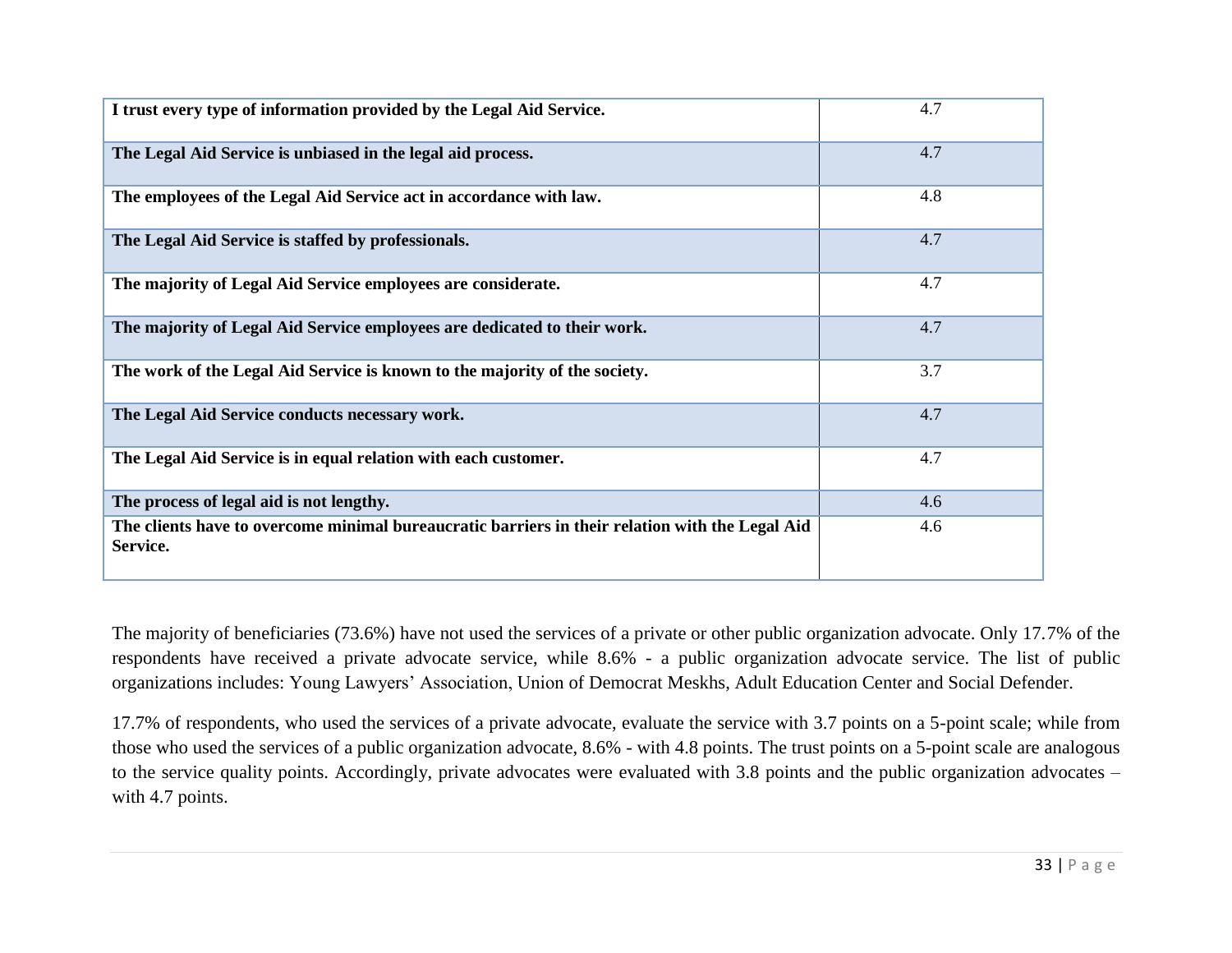| I trust every type of information provided by the Legal Aid Service.                                        | 4.7 |
|-------------------------------------------------------------------------------------------------------------|-----|
| The Legal Aid Service is unbiased in the legal aid process.                                                 | 4.7 |
| The employees of the Legal Aid Service act in accordance with law.                                          | 4.8 |
| The Legal Aid Service is staffed by professionals.                                                          | 4.7 |
| The majority of Legal Aid Service employees are considerate.                                                | 4.7 |
| The majority of Legal Aid Service employees are dedicated to their work.                                    | 4.7 |
| The work of the Legal Aid Service is known to the majority of the society.                                  | 3.7 |
| The Legal Aid Service conducts necessary work.                                                              | 4.7 |
| The Legal Aid Service is in equal relation with each customer.                                              | 4.7 |
| The process of legal aid is not lengthy.                                                                    | 4.6 |
| The clients have to overcome minimal bureaucratic barriers in their relation with the Legal Aid<br>Service. | 4.6 |

The majority of beneficiaries (73.6%) have not used the services of a private or other public organization advocate. Only 17.7% of the respondents have received a private advocate service, while 8.6% - a public organization advocate service. The list of public organizations includes: Young Lawyers' Association, Union of Democrat Meskhs, Adult Education Center and Social Defender.

17.7% of respondents, who used the services of a private advocate, evaluate the service with 3.7 points on a 5-point scale; while from those who used the services of a public organization advocate, 8.6% - with 4.8 points. The trust points on a 5-point scale are analogous to the service quality points. Accordingly, private advocates were evaluated with 3.8 points and the public organization advocates – with 4.7 points.